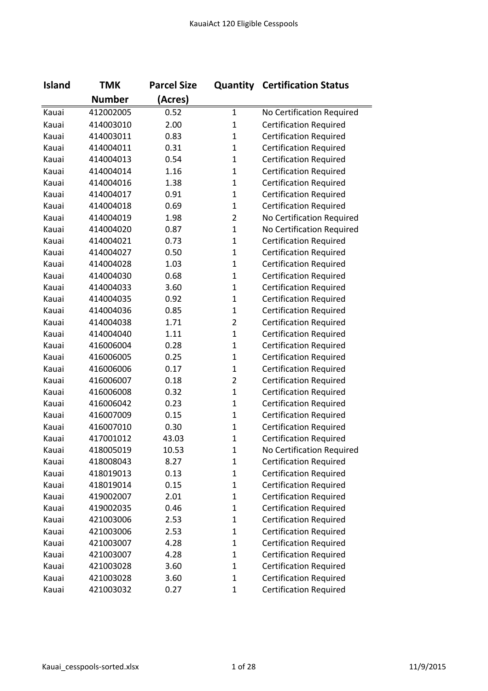| <b>Island</b> | <b>TMK</b>    | <b>Parcel Size</b> |                | <b>Quantity Certification Status</b> |
|---------------|---------------|--------------------|----------------|--------------------------------------|
|               | <b>Number</b> | (Acres)            |                |                                      |
| Kauai         | 412002005     | 0.52               | $\mathbf{1}$   | No Certification Required            |
| Kauai         | 414003010     | 2.00               | $\mathbf{1}$   | <b>Certification Required</b>        |
| Kauai         | 414003011     | 0.83               | $\mathbf{1}$   | <b>Certification Required</b>        |
| Kauai         | 414004011     | 0.31               | $\mathbf{1}$   | <b>Certification Required</b>        |
| Kauai         | 414004013     | 0.54               | $\mathbf{1}$   | <b>Certification Required</b>        |
| Kauai         | 414004014     | 1.16               | $\mathbf{1}$   | <b>Certification Required</b>        |
| Kauai         | 414004016     | 1.38               | $\mathbf{1}$   | <b>Certification Required</b>        |
| Kauai         | 414004017     | 0.91               | $\mathbf{1}$   | <b>Certification Required</b>        |
| Kauai         | 414004018     | 0.69               | $\mathbf{1}$   | <b>Certification Required</b>        |
| Kauai         | 414004019     | 1.98               | $\overline{2}$ | No Certification Required            |
| Kauai         | 414004020     | 0.87               | $\mathbf{1}$   | No Certification Required            |
| Kauai         | 414004021     | 0.73               | $\mathbf{1}$   | <b>Certification Required</b>        |
| Kauai         | 414004027     | 0.50               | $\mathbf{1}$   | <b>Certification Required</b>        |
| Kauai         | 414004028     | 1.03               | $\mathbf{1}$   | <b>Certification Required</b>        |
| Kauai         | 414004030     | 0.68               | $\mathbf{1}$   | <b>Certification Required</b>        |
| Kauai         | 414004033     | 3.60               | $\mathbf{1}$   | <b>Certification Required</b>        |
| Kauai         | 414004035     | 0.92               | $\mathbf{1}$   | <b>Certification Required</b>        |
| Kauai         | 414004036     | 0.85               | $\mathbf{1}$   | <b>Certification Required</b>        |
| Kauai         | 414004038     | 1.71               | $\overline{2}$ | <b>Certification Required</b>        |
| Kauai         | 414004040     | 1.11               | $\mathbf{1}$   | <b>Certification Required</b>        |
| Kauai         | 416006004     | 0.28               | $\mathbf{1}$   | <b>Certification Required</b>        |
| Kauai         | 416006005     | 0.25               | $\mathbf{1}$   | <b>Certification Required</b>        |
| Kauai         | 416006006     | 0.17               | $\mathbf{1}$   | <b>Certification Required</b>        |
| Kauai         | 416006007     | 0.18               | $\overline{2}$ | <b>Certification Required</b>        |
| Kauai         | 416006008     | 0.32               | $\mathbf 1$    | <b>Certification Required</b>        |
| Kauai         | 416006042     | 0.23               | $\mathbf{1}$   | <b>Certification Required</b>        |
| Kauai         | 416007009     | 0.15               | $\mathbf{1}$   | <b>Certification Required</b>        |
| Kauai         | 416007010     | 0.30               | $\mathbf 1$    | <b>Certification Required</b>        |
| Kauai         | 417001012     | 43.03              | $\mathbf{1}$   | <b>Certification Required</b>        |
| Kauai         | 418005019     | 10.53              | 1              | No Certification Required            |
| Kauai         | 418008043     | 8.27               | $\mathbf{1}$   | <b>Certification Required</b>        |
| Kauai         | 418019013     | 0.13               | $\mathbf{1}$   | <b>Certification Required</b>        |
| Kauai         | 418019014     | 0.15               | $\mathbf{1}$   | <b>Certification Required</b>        |
| Kauai         | 419002007     | 2.01               | $\mathbf{1}$   | <b>Certification Required</b>        |
| Kauai         | 419002035     | 0.46               | $\mathbf 1$    | <b>Certification Required</b>        |
| Kauai         | 421003006     | 2.53               | $\mathbf{1}$   | <b>Certification Required</b>        |
| Kauai         | 421003006     | 2.53               | $\mathbf{1}$   | <b>Certification Required</b>        |
| Kauai         | 421003007     | 4.28               | $\mathbf{1}$   | <b>Certification Required</b>        |
| Kauai         | 421003007     | 4.28               | $\mathbf 1$    | <b>Certification Required</b>        |
| Kauai         | 421003028     | 3.60               | $\mathbf 1$    | <b>Certification Required</b>        |
| Kauai         | 421003028     | 3.60               | $\mathbf 1$    | <b>Certification Required</b>        |
| Kauai         | 421003032     | 0.27               | $\mathbf 1$    | <b>Certification Required</b>        |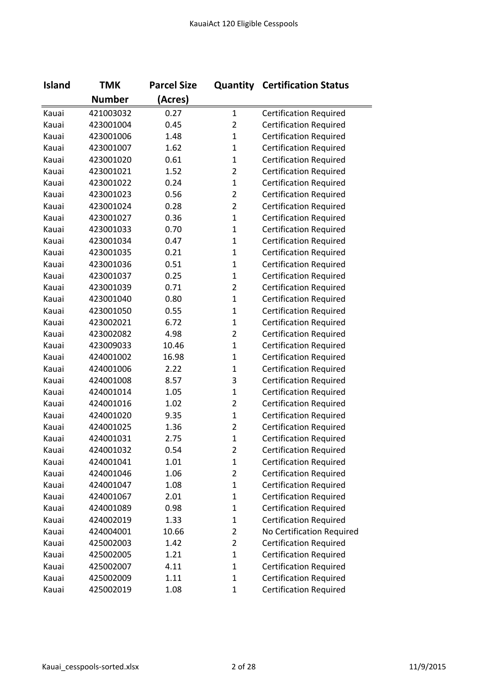| <b>Island</b> | <b>TMK</b>    | <b>Parcel Size</b> |                | <b>Quantity Certification Status</b> |
|---------------|---------------|--------------------|----------------|--------------------------------------|
|               | <b>Number</b> | (Acres)            |                |                                      |
| Kauai         | 421003032     | 0.27               | $\mathbf{1}$   | <b>Certification Required</b>        |
| Kauai         | 423001004     | 0.45               | $\overline{2}$ | <b>Certification Required</b>        |
| Kauai         | 423001006     | 1.48               | $\mathbf{1}$   | <b>Certification Required</b>        |
| Kauai         | 423001007     | 1.62               | $\mathbf{1}$   | <b>Certification Required</b>        |
| Kauai         | 423001020     | 0.61               | $\mathbf{1}$   | <b>Certification Required</b>        |
| Kauai         | 423001021     | 1.52               | $\overline{2}$ | <b>Certification Required</b>        |
| Kauai         | 423001022     | 0.24               | $\mathbf{1}$   | <b>Certification Required</b>        |
| Kauai         | 423001023     | 0.56               | $\overline{2}$ | <b>Certification Required</b>        |
| Kauai         | 423001024     | 0.28               | $\overline{2}$ | <b>Certification Required</b>        |
| Kauai         | 423001027     | 0.36               | $\mathbf{1}$   | <b>Certification Required</b>        |
| Kauai         | 423001033     | 0.70               | $\mathbf{1}$   | <b>Certification Required</b>        |
| Kauai         | 423001034     | 0.47               | $\mathbf{1}$   | <b>Certification Required</b>        |
| Kauai         | 423001035     | 0.21               | $\mathbf{1}$   | <b>Certification Required</b>        |
| Kauai         | 423001036     | 0.51               | $\mathbf{1}$   | <b>Certification Required</b>        |
| Kauai         | 423001037     | 0.25               | $\mathbf{1}$   | <b>Certification Required</b>        |
| Kauai         | 423001039     | 0.71               | $\overline{2}$ | <b>Certification Required</b>        |
| Kauai         | 423001040     | 0.80               | $\mathbf{1}$   | <b>Certification Required</b>        |
| Kauai         | 423001050     | 0.55               | $\mathbf{1}$   | <b>Certification Required</b>        |
| Kauai         | 423002021     | 6.72               | $\mathbf{1}$   | <b>Certification Required</b>        |
| Kauai         | 423002082     | 4.98               | $\overline{2}$ | <b>Certification Required</b>        |
| Kauai         | 423009033     | 10.46              | $\mathbf{1}$   | <b>Certification Required</b>        |
| Kauai         | 424001002     | 16.98              | $\mathbf{1}$   | <b>Certification Required</b>        |
| Kauai         | 424001006     | 2.22               | $\mathbf{1}$   | <b>Certification Required</b>        |
| Kauai         | 424001008     | 8.57               | 3              | <b>Certification Required</b>        |
| Kauai         | 424001014     | 1.05               | $\mathbf{1}$   | <b>Certification Required</b>        |
| Kauai         | 424001016     | 1.02               | $\overline{2}$ | <b>Certification Required</b>        |
| Kauai         | 424001020     | 9.35               | $\mathbf{1}$   | <b>Certification Required</b>        |
| Kauai         | 424001025     | 1.36               | $\overline{2}$ | <b>Certification Required</b>        |
| Kauai         | 424001031     | 2.75               | $\mathbf{1}$   | <b>Certification Required</b>        |
| Kauai         | 424001032     | 0.54               | 2              | <b>Certification Required</b>        |
| Kauai         | 424001041     | 1.01               | $\mathbf{1}$   | <b>Certification Required</b>        |
| Kauai         | 424001046     | 1.06               | $\overline{2}$ | <b>Certification Required</b>        |
| Kauai         | 424001047     | 1.08               | $\mathbf{1}$   | <b>Certification Required</b>        |
| Kauai         | 424001067     | 2.01               | $\mathbf{1}$   | <b>Certification Required</b>        |
| Kauai         | 424001089     | 0.98               | $\mathbf{1}$   | <b>Certification Required</b>        |
| Kauai         | 424002019     | 1.33               | $\mathbf{1}$   | <b>Certification Required</b>        |
| Kauai         | 424004001     | 10.66              | $\overline{2}$ | No Certification Required            |
| Kauai         | 425002003     | 1.42               | 2              | <b>Certification Required</b>        |
| Kauai         | 425002005     | 1.21               | $\mathbf{1}$   | <b>Certification Required</b>        |
| Kauai         | 425002007     | 4.11               | $\mathbf{1}$   | <b>Certification Required</b>        |
| Kauai         | 425002009     | 1.11               | $\mathbf{1}$   | <b>Certification Required</b>        |
| Kauai         | 425002019     | 1.08               | $\mathbf{1}$   | <b>Certification Required</b>        |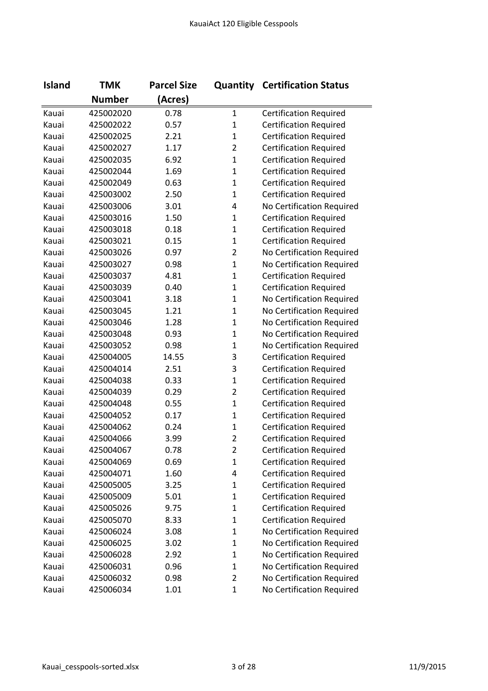| <b>Island</b> | <b>TMK</b>    | <b>Parcel Size</b> |                | <b>Quantity Certification Status</b> |
|---------------|---------------|--------------------|----------------|--------------------------------------|
|               | <b>Number</b> | (Acres)            |                |                                      |
| Kauai         | 425002020     | 0.78               | $\mathbf{1}$   | <b>Certification Required</b>        |
| Kauai         | 425002022     | 0.57               | 1              | <b>Certification Required</b>        |
| Kauai         | 425002025     | 2.21               | $\mathbf{1}$   | <b>Certification Required</b>        |
| Kauai         | 425002027     | 1.17               | $\overline{2}$ | <b>Certification Required</b>        |
| Kauai         | 425002035     | 6.92               | $\mathbf{1}$   | <b>Certification Required</b>        |
| Kauai         | 425002044     | 1.69               | $\mathbf{1}$   | <b>Certification Required</b>        |
| Kauai         | 425002049     | 0.63               | $\mathbf{1}$   | <b>Certification Required</b>        |
| Kauai         | 425003002     | 2.50               | $\mathbf{1}$   | <b>Certification Required</b>        |
| Kauai         | 425003006     | 3.01               | 4              | No Certification Required            |
| Kauai         | 425003016     | 1.50               | $\mathbf{1}$   | <b>Certification Required</b>        |
| Kauai         | 425003018     | 0.18               | $\mathbf{1}$   | <b>Certification Required</b>        |
| Kauai         | 425003021     | 0.15               | $\mathbf{1}$   | <b>Certification Required</b>        |
| Kauai         | 425003026     | 0.97               | $\overline{2}$ | No Certification Required            |
| Kauai         | 425003027     | 0.98               | $\mathbf{1}$   | No Certification Required            |
| Kauai         | 425003037     | 4.81               | $\mathbf{1}$   | <b>Certification Required</b>        |
| Kauai         | 425003039     | 0.40               | $\mathbf{1}$   | <b>Certification Required</b>        |
| Kauai         | 425003041     | 3.18               | $\mathbf{1}$   | No Certification Required            |
| Kauai         | 425003045     | 1.21               | $\mathbf{1}$   | No Certification Required            |
| Kauai         | 425003046     | 1.28               | $\mathbf{1}$   | No Certification Required            |
| Kauai         | 425003048     | 0.93               | $\mathbf{1}$   | No Certification Required            |
| Kauai         | 425003052     | 0.98               | $\mathbf 1$    | No Certification Required            |
| Kauai         | 425004005     | 14.55              | 3              | <b>Certification Required</b>        |
| Kauai         | 425004014     | 2.51               | 3              | <b>Certification Required</b>        |
| Kauai         | 425004038     | 0.33               | $\mathbf{1}$   | <b>Certification Required</b>        |
| Kauai         | 425004039     | 0.29               | $\overline{2}$ | <b>Certification Required</b>        |
| Kauai         | 425004048     | 0.55               | $\mathbf{1}$   | <b>Certification Required</b>        |
| Kauai         | 425004052     | 0.17               | $\mathbf 1$    | <b>Certification Required</b>        |
| Kauai         | 425004062     | 0.24               | $\mathbf 1$    | <b>Certification Required</b>        |
| Kauai         | 425004066     | 3.99               | $\overline{2}$ | <b>Certification Required</b>        |
| Kauai         | 425004067     | 0.78               | 2              | <b>Certification Required</b>        |
| Kauai         | 425004069     | 0.69               | $\mathbf{1}$   | <b>Certification Required</b>        |
| Kauai         | 425004071     | 1.60               | 4              | <b>Certification Required</b>        |
| Kauai         | 425005005     | 3.25               | $\mathbf 1$    | <b>Certification Required</b>        |
| Kauai         | 425005009     | 5.01               | 1              | <b>Certification Required</b>        |
| Kauai         | 425005026     | 9.75               | $\mathbf 1$    | <b>Certification Required</b>        |
| Kauai         | 425005070     | 8.33               | $\mathbf 1$    | <b>Certification Required</b>        |
| Kauai         | 425006024     | 3.08               | $\mathbf 1$    | No Certification Required            |
| Kauai         | 425006025     | 3.02               | 1              | No Certification Required            |
| Kauai         | 425006028     | 2.92               | $\mathbf 1$    | No Certification Required            |
| Kauai         | 425006031     | 0.96               | $\mathbf 1$    | No Certification Required            |
| Kauai         | 425006032     | 0.98               | $\overline{2}$ | No Certification Required            |
| Kauai         | 425006034     | 1.01               | $\mathbf{1}$   | No Certification Required            |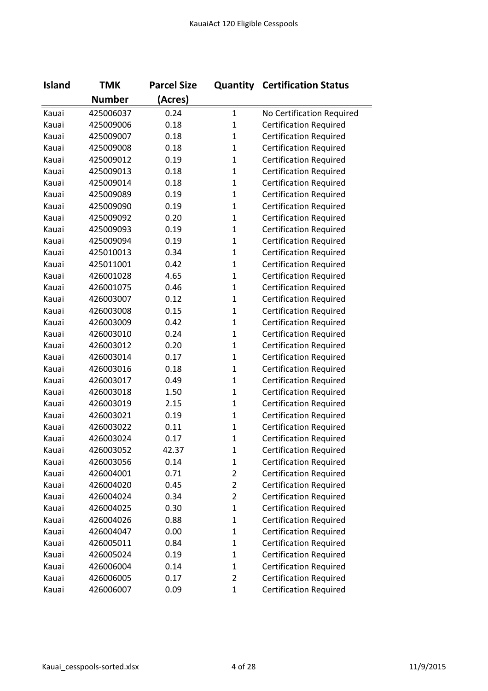| <b>Island</b> | <b>TMK</b>    | <b>Parcel Size</b> |                | <b>Quantity Certification Status</b> |
|---------------|---------------|--------------------|----------------|--------------------------------------|
|               | <b>Number</b> | (Acres)            |                |                                      |
| Kauai         | 425006037     | 0.24               | $\mathbf 1$    | No Certification Required            |
| Kauai         | 425009006     | 0.18               | $\mathbf 1$    | <b>Certification Required</b>        |
| Kauai         | 425009007     | 0.18               | $\mathbf{1}$   | <b>Certification Required</b>        |
| Kauai         | 425009008     | 0.18               | $\mathbf{1}$   | <b>Certification Required</b>        |
| Kauai         | 425009012     | 0.19               | $\mathbf{1}$   | <b>Certification Required</b>        |
| Kauai         | 425009013     | 0.18               | $\mathbf{1}$   | <b>Certification Required</b>        |
| Kauai         | 425009014     | 0.18               | $\mathbf{1}$   | <b>Certification Required</b>        |
| Kauai         | 425009089     | 0.19               | $\mathbf{1}$   | <b>Certification Required</b>        |
| Kauai         | 425009090     | 0.19               | $\mathbf{1}$   | <b>Certification Required</b>        |
| Kauai         | 425009092     | 0.20               | $\mathbf{1}$   | <b>Certification Required</b>        |
| Kauai         | 425009093     | 0.19               | $\mathbf{1}$   | <b>Certification Required</b>        |
| Kauai         | 425009094     | 0.19               | $\mathbf{1}$   | <b>Certification Required</b>        |
| Kauai         | 425010013     | 0.34               | $\mathbf{1}$   | <b>Certification Required</b>        |
| Kauai         | 425011001     | 0.42               | $\mathbf{1}$   | <b>Certification Required</b>        |
| Kauai         | 426001028     | 4.65               | $\mathbf{1}$   | <b>Certification Required</b>        |
| Kauai         | 426001075     | 0.46               | $\mathbf{1}$   | <b>Certification Required</b>        |
| Kauai         | 426003007     | 0.12               | $\mathbf{1}$   | <b>Certification Required</b>        |
| Kauai         | 426003008     | 0.15               | $\mathbf{1}$   | <b>Certification Required</b>        |
| Kauai         | 426003009     | 0.42               | $\mathbf{1}$   | <b>Certification Required</b>        |
| Kauai         | 426003010     | 0.24               | $\mathbf{1}$   | <b>Certification Required</b>        |
| Kauai         | 426003012     | 0.20               | $\mathbf{1}$   | <b>Certification Required</b>        |
| Kauai         | 426003014     | 0.17               | $\mathbf{1}$   | <b>Certification Required</b>        |
| Kauai         | 426003016     | 0.18               | $\mathbf{1}$   | <b>Certification Required</b>        |
| Kauai         | 426003017     | 0.49               | $\mathbf{1}$   | <b>Certification Required</b>        |
| Kauai         | 426003018     | 1.50               | $\mathbf{1}$   | <b>Certification Required</b>        |
| Kauai         | 426003019     | 2.15               | $\mathbf{1}$   | <b>Certification Required</b>        |
| Kauai         | 426003021     | 0.19               | $\mathbf{1}$   | <b>Certification Required</b>        |
| Kauai         | 426003022     | 0.11               | $\mathbf{1}$   | <b>Certification Required</b>        |
| Kauai         | 426003024     | 0.17               | $\mathbf{1}$   | <b>Certification Required</b>        |
| Kauai         | 426003052     | 42.37              | 1              | <b>Certification Required</b>        |
| Kauai         | 426003056     | 0.14               | $\mathbf{1}$   | <b>Certification Required</b>        |
| Kauai         | 426004001     | 0.71               | $\overline{2}$ | <b>Certification Required</b>        |
| Kauai         | 426004020     | 0.45               | $\overline{2}$ | <b>Certification Required</b>        |
| Kauai         | 426004024     | 0.34               | $\overline{2}$ | <b>Certification Required</b>        |
| Kauai         | 426004025     | 0.30               | $\mathbf{1}$   | <b>Certification Required</b>        |
| Kauai         | 426004026     | 0.88               | $\mathbf{1}$   | <b>Certification Required</b>        |
| Kauai         | 426004047     | 0.00               | $\mathbf{1}$   | <b>Certification Required</b>        |
| Kauai         | 426005011     | 0.84               | $\mathbf{1}$   | <b>Certification Required</b>        |
| Kauai         | 426005024     | 0.19               | $\mathbf{1}$   | <b>Certification Required</b>        |
| Kauai         | 426006004     | 0.14               | $\mathbf{1}$   | <b>Certification Required</b>        |
| Kauai         | 426006005     | 0.17               | $\overline{2}$ | <b>Certification Required</b>        |
| Kauai         | 426006007     | 0.09               | $\mathbf{1}$   | <b>Certification Required</b>        |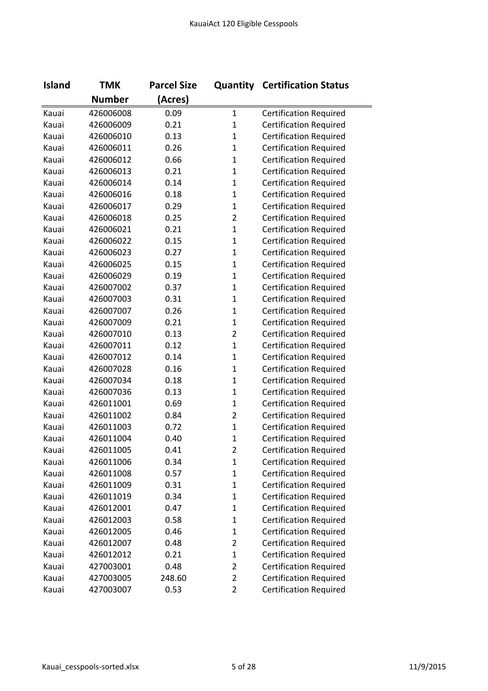| <b>Island</b> | <b>TMK</b>    | <b>Parcel Size</b> |                | <b>Quantity Certification Status</b> |
|---------------|---------------|--------------------|----------------|--------------------------------------|
|               | <b>Number</b> | (Acres)            |                |                                      |
| Kauai         | 426006008     | 0.09               | $\mathbf{1}$   | <b>Certification Required</b>        |
| Kauai         | 426006009     | 0.21               | $\mathbf{1}$   | <b>Certification Required</b>        |
| Kauai         | 426006010     | 0.13               | $\mathbf{1}$   | <b>Certification Required</b>        |
| Kauai         | 426006011     | 0.26               | $\mathbf{1}$   | <b>Certification Required</b>        |
| Kauai         | 426006012     | 0.66               | $\mathbf{1}$   | <b>Certification Required</b>        |
| Kauai         | 426006013     | 0.21               | $\mathbf{1}$   | <b>Certification Required</b>        |
| Kauai         | 426006014     | 0.14               | $\mathbf{1}$   | <b>Certification Required</b>        |
| Kauai         | 426006016     | 0.18               | $\mathbf{1}$   | <b>Certification Required</b>        |
| Kauai         | 426006017     | 0.29               | $\mathbf{1}$   | <b>Certification Required</b>        |
| Kauai         | 426006018     | 0.25               | $\overline{2}$ | <b>Certification Required</b>        |
| Kauai         | 426006021     | 0.21               | $\mathbf{1}$   | <b>Certification Required</b>        |
| Kauai         | 426006022     | 0.15               | $\mathbf{1}$   | <b>Certification Required</b>        |
| Kauai         | 426006023     | 0.27               | $\mathbf{1}$   | <b>Certification Required</b>        |
| Kauai         | 426006025     | 0.15               | $\mathbf{1}$   | <b>Certification Required</b>        |
| Kauai         | 426006029     | 0.19               | $\mathbf{1}$   | <b>Certification Required</b>        |
| Kauai         | 426007002     | 0.37               | $\mathbf{1}$   | <b>Certification Required</b>        |
| Kauai         | 426007003     | 0.31               | $\mathbf{1}$   | <b>Certification Required</b>        |
| Kauai         | 426007007     | 0.26               | $\mathbf{1}$   | <b>Certification Required</b>        |
| Kauai         | 426007009     | 0.21               | $\mathbf{1}$   | <b>Certification Required</b>        |
| Kauai         | 426007010     | 0.13               | $\overline{2}$ | <b>Certification Required</b>        |
| Kauai         | 426007011     | 0.12               | $\mathbf{1}$   | <b>Certification Required</b>        |
| Kauai         | 426007012     | 0.14               | $\mathbf{1}$   | <b>Certification Required</b>        |
| Kauai         | 426007028     | 0.16               | $\mathbf{1}$   | <b>Certification Required</b>        |
| Kauai         | 426007034     | 0.18               | $\mathbf{1}$   | <b>Certification Required</b>        |
| Kauai         | 426007036     | 0.13               | $\mathbf{1}$   | <b>Certification Required</b>        |
| Kauai         | 426011001     | 0.69               | $\mathbf{1}$   | <b>Certification Required</b>        |
| Kauai         | 426011002     | 0.84               | $\overline{2}$ | <b>Certification Required</b>        |
| Kauai         | 426011003     | 0.72               | $\mathbf{1}$   | <b>Certification Required</b>        |
| Kauai         | 426011004     | 0.40               | $\mathbf{1}$   | <b>Certification Required</b>        |
| Kauai         | 426011005     | 0.41               | 2              | <b>Certification Required</b>        |
| Kauai         | 426011006     | 0.34               | $\mathbf{1}$   | <b>Certification Required</b>        |
| Kauai         | 426011008     | 0.57               | $\mathbf{1}$   | <b>Certification Required</b>        |
| Kauai         | 426011009     | 0.31               | $\mathbf{1}$   | <b>Certification Required</b>        |
| Kauai         | 426011019     | 0.34               | $\mathbf{1}$   | <b>Certification Required</b>        |
| Kauai         | 426012001     | 0.47               | $\mathbf{1}$   | <b>Certification Required</b>        |
| Kauai         | 426012003     | 0.58               | $\mathbf{1}$   | <b>Certification Required</b>        |
| Kauai         | 426012005     | 0.46               | $\mathbf{1}$   | <b>Certification Required</b>        |
| Kauai         | 426012007     | 0.48               | $\overline{2}$ | <b>Certification Required</b>        |
| Kauai         | 426012012     | 0.21               | $\mathbf{1}$   | <b>Certification Required</b>        |
| Kauai         | 427003001     | 0.48               | $\overline{2}$ | <b>Certification Required</b>        |
| Kauai         | 427003005     | 248.60             | $\overline{2}$ | <b>Certification Required</b>        |
| Kauai         | 427003007     | 0.53               | $\overline{2}$ | <b>Certification Required</b>        |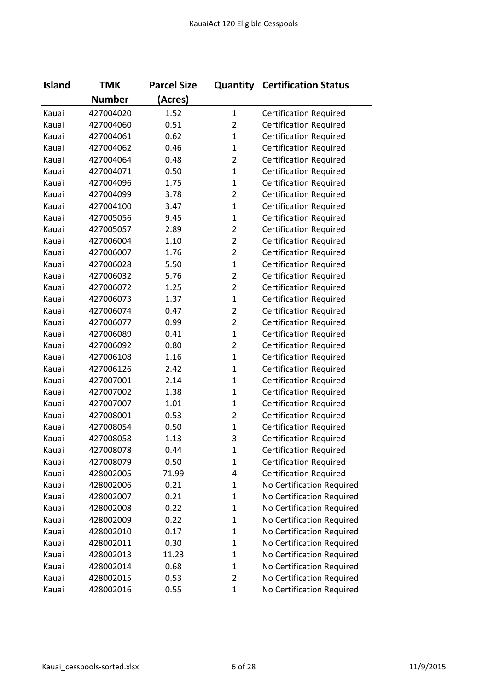| <b>Island</b> | <b>TMK</b>    | <b>Parcel Size</b> |                | <b>Quantity Certification Status</b> |
|---------------|---------------|--------------------|----------------|--------------------------------------|
|               | <b>Number</b> | (Acres)            |                |                                      |
| Kauai         | 427004020     | 1.52               | $\mathbf{1}$   | <b>Certification Required</b>        |
| Kauai         | 427004060     | 0.51               | $\overline{2}$ | <b>Certification Required</b>        |
| Kauai         | 427004061     | 0.62               | $\mathbf{1}$   | <b>Certification Required</b>        |
| Kauai         | 427004062     | 0.46               | $\mathbf{1}$   | <b>Certification Required</b>        |
| Kauai         | 427004064     | 0.48               | $\overline{2}$ | <b>Certification Required</b>        |
| Kauai         | 427004071     | 0.50               | $\mathbf{1}$   | <b>Certification Required</b>        |
| Kauai         | 427004096     | 1.75               | $\mathbf{1}$   | <b>Certification Required</b>        |
| Kauai         | 427004099     | 3.78               | $\overline{2}$ | <b>Certification Required</b>        |
| Kauai         | 427004100     | 3.47               | $\mathbf{1}$   | <b>Certification Required</b>        |
| Kauai         | 427005056     | 9.45               | $\mathbf{1}$   | <b>Certification Required</b>        |
| Kauai         | 427005057     | 2.89               | $\overline{2}$ | <b>Certification Required</b>        |
| Kauai         | 427006004     | 1.10               | $\overline{2}$ | <b>Certification Required</b>        |
| Kauai         | 427006007     | 1.76               | $\overline{2}$ | <b>Certification Required</b>        |
| Kauai         | 427006028     | 5.50               | $\mathbf{1}$   | <b>Certification Required</b>        |
| Kauai         | 427006032     | 5.76               | $\overline{2}$ | <b>Certification Required</b>        |
| Kauai         | 427006072     | 1.25               | $\overline{2}$ | <b>Certification Required</b>        |
| Kauai         | 427006073     | 1.37               | $\mathbf{1}$   | <b>Certification Required</b>        |
| Kauai         | 427006074     | 0.47               | $\overline{2}$ | <b>Certification Required</b>        |
| Kauai         | 427006077     | 0.99               | $\overline{2}$ | <b>Certification Required</b>        |
| Kauai         | 427006089     | 0.41               | $\mathbf{1}$   | <b>Certification Required</b>        |
| Kauai         | 427006092     | 0.80               | $\overline{2}$ | <b>Certification Required</b>        |
| Kauai         | 427006108     | 1.16               | $\mathbf{1}$   | <b>Certification Required</b>        |
| Kauai         | 427006126     | 2.42               | $\mathbf{1}$   | <b>Certification Required</b>        |
| Kauai         | 427007001     | 2.14               | $\mathbf{1}$   | <b>Certification Required</b>        |
| Kauai         | 427007002     | 1.38               | $\mathbf{1}$   | <b>Certification Required</b>        |
| Kauai         | 427007007     | 1.01               | $\mathbf{1}$   | <b>Certification Required</b>        |
| Kauai         | 427008001     | 0.53               | $\overline{2}$ | <b>Certification Required</b>        |
| Kauai         | 427008054     | 0.50               | $\mathbf{1}$   | <b>Certification Required</b>        |
| Kauai         | 427008058     | 1.13               | 3              | <b>Certification Required</b>        |
| Kauai         | 427008078     | 0.44               | 1              | <b>Certification Required</b>        |
| Kauai         | 427008079     | 0.50               | $\mathbf{1}$   | <b>Certification Required</b>        |
| Kauai         | 428002005     | 71.99              | 4              | <b>Certification Required</b>        |
| Kauai         | 428002006     | 0.21               | 1              | No Certification Required            |
| Kauai         | 428002007     | 0.21               | $\mathbf 1$    | No Certification Required            |
| Kauai         | 428002008     | 0.22               | $\mathbf{1}$   | No Certification Required            |
| Kauai         | 428002009     | 0.22               | $\mathbf{1}$   | No Certification Required            |
| Kauai         | 428002010     | 0.17               | $\mathbf 1$    | No Certification Required            |
| Kauai         | 428002011     | 0.30               | $\mathbf{1}$   | No Certification Required            |
| Kauai         | 428002013     | 11.23              | $\mathbf{1}$   | No Certification Required            |
| Kauai         | 428002014     | 0.68               | $\mathbf 1$    | No Certification Required            |
| Kauai         | 428002015     | 0.53               | $\overline{2}$ | No Certification Required            |
| Kauai         | 428002016     | 0.55               | $\mathbf{1}$   | No Certification Required            |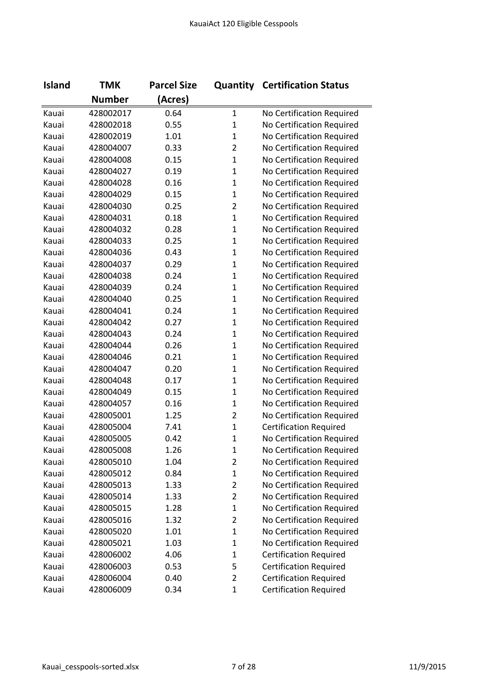| <b>Island</b> | <b>TMK</b>    | <b>Parcel Size</b> |                | <b>Quantity Certification Status</b> |
|---------------|---------------|--------------------|----------------|--------------------------------------|
|               | <b>Number</b> | (Acres)            |                |                                      |
| Kauai         | 428002017     | 0.64               | $\mathbf{1}$   | No Certification Required            |
| Kauai         | 428002018     | 0.55               | $\mathbf{1}$   | No Certification Required            |
| Kauai         | 428002019     | 1.01               | $\mathbf{1}$   | No Certification Required            |
| Kauai         | 428004007     | 0.33               | $\overline{2}$ | No Certification Required            |
| Kauai         | 428004008     | 0.15               | $\mathbf{1}$   | No Certification Required            |
| Kauai         | 428004027     | 0.19               | $\mathbf{1}$   | No Certification Required            |
| Kauai         | 428004028     | 0.16               | $\mathbf{1}$   | No Certification Required            |
| Kauai         | 428004029     | 0.15               | $\mathbf{1}$   | No Certification Required            |
| Kauai         | 428004030     | 0.25               | $\overline{2}$ | No Certification Required            |
| Kauai         | 428004031     | 0.18               | $\mathbf 1$    | No Certification Required            |
| Kauai         | 428004032     | 0.28               | $\mathbf{1}$   | No Certification Required            |
| Kauai         | 428004033     | 0.25               | $\mathbf{1}$   | No Certification Required            |
| Kauai         | 428004036     | 0.43               | $\mathbf{1}$   | No Certification Required            |
| Kauai         | 428004037     | 0.29               | $\mathbf{1}$   | No Certification Required            |
| Kauai         | 428004038     | 0.24               | $\mathbf{1}$   | No Certification Required            |
| Kauai         | 428004039     | 0.24               | $\mathbf{1}$   | No Certification Required            |
| Kauai         | 428004040     | 0.25               | $\mathbf 1$    | No Certification Required            |
| Kauai         | 428004041     | 0.24               | $\mathbf{1}$   | No Certification Required            |
| Kauai         | 428004042     | 0.27               | $\mathbf{1}$   | No Certification Required            |
| Kauai         | 428004043     | 0.24               | $\mathbf{1}$   | No Certification Required            |
| Kauai         | 428004044     | 0.26               | $\mathbf{1}$   | No Certification Required            |
| Kauai         | 428004046     | 0.21               | $\mathbf{1}$   | No Certification Required            |
| Kauai         | 428004047     | 0.20               | $\mathbf{1}$   | No Certification Required            |
| Kauai         | 428004048     | 0.17               | $\mathbf 1$    | No Certification Required            |
| Kauai         | 428004049     | 0.15               | $\mathbf{1}$   | No Certification Required            |
| Kauai         | 428004057     | 0.16               | $\mathbf{1}$   | No Certification Required            |
| Kauai         | 428005001     | 1.25               | $\overline{2}$ | No Certification Required            |
| Kauai         | 428005004     | 7.41               | $\mathbf 1$    | <b>Certification Required</b>        |
| Kauai         | 428005005     | 0.42               | $\mathbf{1}$   | No Certification Required            |
| Kauai         | 428005008     | 1.26               | 1              | No Certification Required            |
| Kauai         | 428005010     | 1.04               | $\overline{2}$ | No Certification Required            |
| Kauai         | 428005012     | 0.84               | $\mathbf{1}$   | No Certification Required            |
| Kauai         | 428005013     | 1.33               | $\overline{2}$ | No Certification Required            |
| Kauai         | 428005014     | 1.33               | $\overline{2}$ | No Certification Required            |
| Kauai         | 428005015     | 1.28               | $\mathbf{1}$   | No Certification Required            |
| Kauai         | 428005016     | 1.32               | $\overline{2}$ | No Certification Required            |
| Kauai         | 428005020     | 1.01               | $\mathbf{1}$   | No Certification Required            |
| Kauai         | 428005021     | 1.03               | $\mathbf 1$    | No Certification Required            |
| Kauai         | 428006002     | 4.06               | $\mathbf{1}$   | <b>Certification Required</b>        |
| Kauai         | 428006003     | 0.53               | 5              | <b>Certification Required</b>        |
| Kauai         | 428006004     | 0.40               | $\overline{2}$ | <b>Certification Required</b>        |
| Kauai         | 428006009     | 0.34               | $\mathbf 1$    | <b>Certification Required</b>        |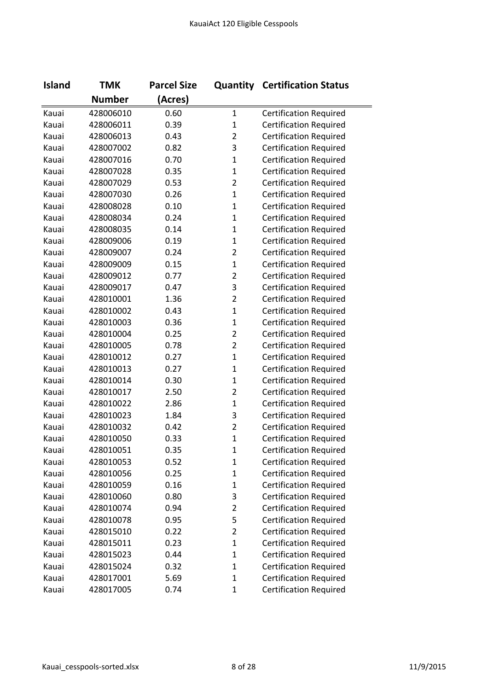| <b>Island</b> | <b>TMK</b>    | <b>Parcel Size</b> |                | <b>Quantity Certification Status</b> |
|---------------|---------------|--------------------|----------------|--------------------------------------|
|               | <b>Number</b> | (Acres)            |                |                                      |
| Kauai         | 428006010     | 0.60               | $\mathbf{1}$   | <b>Certification Required</b>        |
| Kauai         | 428006011     | 0.39               | $\mathbf 1$    | <b>Certification Required</b>        |
| Kauai         | 428006013     | 0.43               | $\overline{2}$ | <b>Certification Required</b>        |
| Kauai         | 428007002     | 0.82               | 3              | <b>Certification Required</b>        |
| Kauai         | 428007016     | 0.70               | $\mathbf{1}$   | <b>Certification Required</b>        |
| Kauai         | 428007028     | 0.35               | $\mathbf{1}$   | <b>Certification Required</b>        |
| Kauai         | 428007029     | 0.53               | $\overline{2}$ | <b>Certification Required</b>        |
| Kauai         | 428007030     | 0.26               | $\mathbf 1$    | <b>Certification Required</b>        |
| Kauai         | 428008028     | 0.10               | $\mathbf{1}$   | <b>Certification Required</b>        |
| Kauai         | 428008034     | 0.24               | $\mathbf{1}$   | <b>Certification Required</b>        |
| Kauai         | 428008035     | 0.14               | $\mathbf{1}$   | <b>Certification Required</b>        |
| Kauai         | 428009006     | 0.19               | $\mathbf{1}$   | <b>Certification Required</b>        |
| Kauai         | 428009007     | 0.24               | $\overline{2}$ | <b>Certification Required</b>        |
| Kauai         | 428009009     | 0.15               | $\mathbf{1}$   | <b>Certification Required</b>        |
| Kauai         | 428009012     | 0.77               | $\overline{2}$ | <b>Certification Required</b>        |
| Kauai         | 428009017     | 0.47               | 3              | <b>Certification Required</b>        |
| Kauai         | 428010001     | 1.36               | $\overline{2}$ | <b>Certification Required</b>        |
| Kauai         | 428010002     | 0.43               | $\mathbf{1}$   | <b>Certification Required</b>        |
| Kauai         | 428010003     | 0.36               | $\mathbf{1}$   | <b>Certification Required</b>        |
| Kauai         | 428010004     | 0.25               | $\overline{2}$ | <b>Certification Required</b>        |
| Kauai         | 428010005     | 0.78               | $\overline{2}$ | <b>Certification Required</b>        |
| Kauai         | 428010012     | 0.27               | $\mathbf{1}$   | <b>Certification Required</b>        |
| Kauai         | 428010013     | 0.27               | $\mathbf{1}$   | <b>Certification Required</b>        |
| Kauai         | 428010014     | 0.30               | $\mathbf{1}$   | <b>Certification Required</b>        |
| Kauai         | 428010017     | 2.50               | $\overline{2}$ | <b>Certification Required</b>        |
| Kauai         | 428010022     | 2.86               | $\mathbf{1}$   | <b>Certification Required</b>        |
| Kauai         | 428010023     | 1.84               | 3              | <b>Certification Required</b>        |
| Kauai         | 428010032     | 0.42               | 2              | <b>Certification Required</b>        |
| Kauai         | 428010050     | 0.33               | $\mathbf{1}$   | <b>Certification Required</b>        |
| Kauai         | 428010051     | 0.35               | 1              | <b>Certification Required</b>        |
| Kauai         | 428010053     | 0.52               | $\mathbf{1}$   | <b>Certification Required</b>        |
| Kauai         | 428010056     | 0.25               | $\mathbf{1}$   | <b>Certification Required</b>        |
| Kauai         | 428010059     | 0.16               | $\mathbf{1}$   | <b>Certification Required</b>        |
| Kauai         | 428010060     | 0.80               | 3              | <b>Certification Required</b>        |
| Kauai         | 428010074     | 0.94               | $\overline{2}$ | <b>Certification Required</b>        |
| Kauai         | 428010078     | 0.95               | 5              | <b>Certification Required</b>        |
| Kauai         | 428015010     | 0.22               | $\overline{2}$ | <b>Certification Required</b>        |
| Kauai         | 428015011     | 0.23               | $\mathbf{1}$   | <b>Certification Required</b>        |
| Kauai         | 428015023     | 0.44               | $\mathbf{1}$   | <b>Certification Required</b>        |
| Kauai         | 428015024     | 0.32               | $\mathbf{1}$   | <b>Certification Required</b>        |
| Kauai         | 428017001     | 5.69               | $\mathbf{1}$   | <b>Certification Required</b>        |
| Kauai         | 428017005     | 0.74               | $\mathbf{1}$   | <b>Certification Required</b>        |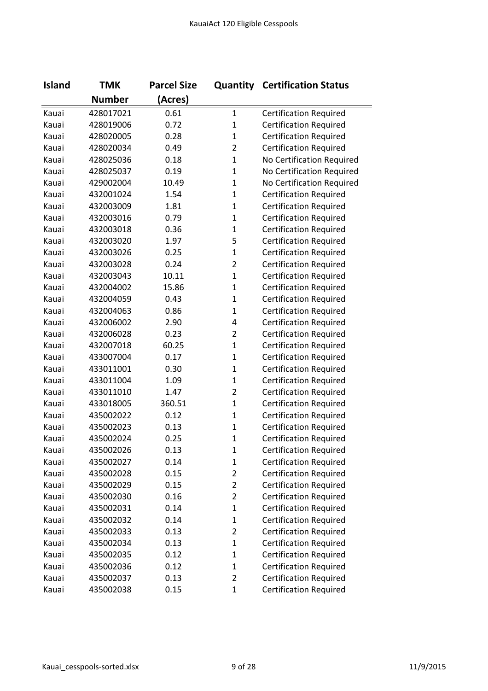| <b>Island</b> | <b>TMK</b>    | <b>Parcel Size</b> |                | <b>Quantity Certification Status</b> |
|---------------|---------------|--------------------|----------------|--------------------------------------|
|               | <b>Number</b> | (Acres)            |                |                                      |
| Kauai         | 428017021     | 0.61               | $\mathbf{1}$   | <b>Certification Required</b>        |
| Kauai         | 428019006     | 0.72               | $\mathbf 1$    | <b>Certification Required</b>        |
| Kauai         | 428020005     | 0.28               | $\mathbf 1$    | <b>Certification Required</b>        |
| Kauai         | 428020034     | 0.49               | $\overline{2}$ | <b>Certification Required</b>        |
| Kauai         | 428025036     | 0.18               | $\mathbf{1}$   | No Certification Required            |
| Kauai         | 428025037     | 0.19               | $\mathbf 1$    | No Certification Required            |
| Kauai         | 429002004     | 10.49              | $\mathbf{1}$   | No Certification Required            |
| Kauai         | 432001024     | 1.54               | $\mathbf 1$    | <b>Certification Required</b>        |
| Kauai         | 432003009     | 1.81               | $\mathbf{1}$   | <b>Certification Required</b>        |
| Kauai         | 432003016     | 0.79               | $\mathbf{1}$   | <b>Certification Required</b>        |
| Kauai         | 432003018     | 0.36               | $\mathbf{1}$   | <b>Certification Required</b>        |
| Kauai         | 432003020     | 1.97               | 5              | <b>Certification Required</b>        |
| Kauai         | 432003026     | 0.25               | $\mathbf 1$    | <b>Certification Required</b>        |
| Kauai         | 432003028     | 0.24               | $\overline{2}$ | <b>Certification Required</b>        |
| Kauai         | 432003043     | 10.11              | $\mathbf{1}$   | <b>Certification Required</b>        |
| Kauai         | 432004002     | 15.86              | $\mathbf{1}$   | <b>Certification Required</b>        |
| Kauai         | 432004059     | 0.43               | $\mathbf 1$    | <b>Certification Required</b>        |
| Kauai         | 432004063     | 0.86               | $\mathbf{1}$   | <b>Certification Required</b>        |
| Kauai         | 432006002     | 2.90               | 4              | <b>Certification Required</b>        |
| Kauai         | 432006028     | 0.23               | $\overline{2}$ | <b>Certification Required</b>        |
| Kauai         | 432007018     | 60.25              | $\mathbf{1}$   | <b>Certification Required</b>        |
| Kauai         | 433007004     | 0.17               | $\mathbf{1}$   | <b>Certification Required</b>        |
| Kauai         | 433011001     | 0.30               | $\mathbf{1}$   | <b>Certification Required</b>        |
| Kauai         | 433011004     | 1.09               | $\mathbf{1}$   | <b>Certification Required</b>        |
| Kauai         | 433011010     | 1.47               | $\overline{2}$ | <b>Certification Required</b>        |
| Kauai         | 433018005     | 360.51             | $\mathbf{1}$   | <b>Certification Required</b>        |
| Kauai         | 435002022     | 0.12               | $\mathbf{1}$   | <b>Certification Required</b>        |
| Kauai         | 435002023     | 0.13               | $\mathbf 1$    | <b>Certification Required</b>        |
| Kauai         | 435002024     | 0.25               | $\mathbf{1}$   | <b>Certification Required</b>        |
| Kauai         | 435002026     | 0.13               | 1              | <b>Certification Required</b>        |
| Kauai         | 435002027     | 0.14               | $\mathbf 1$    | <b>Certification Required</b>        |
| Kauai         | 435002028     | 0.15               | $\overline{2}$ | <b>Certification Required</b>        |
| Kauai         | 435002029     | 0.15               | $\overline{2}$ | <b>Certification Required</b>        |
| Kauai         | 435002030     | 0.16               | $\overline{2}$ | <b>Certification Required</b>        |
| Kauai         | 435002031     | 0.14               | $\mathbf 1$    | <b>Certification Required</b>        |
| Kauai         | 435002032     | 0.14               | $\mathbf{1}$   | <b>Certification Required</b>        |
| Kauai         | 435002033     | 0.13               | $\overline{2}$ | <b>Certification Required</b>        |
| Kauai         | 435002034     | 0.13               | $\mathbf 1$    | <b>Certification Required</b>        |
| Kauai         | 435002035     | 0.12               | $\mathbf 1$    | <b>Certification Required</b>        |
| Kauai         | 435002036     | 0.12               | $\mathbf 1$    | <b>Certification Required</b>        |
| Kauai         | 435002037     | 0.13               | $\overline{2}$ | <b>Certification Required</b>        |
| Kauai         | 435002038     | 0.15               | $\mathbf{1}$   | <b>Certification Required</b>        |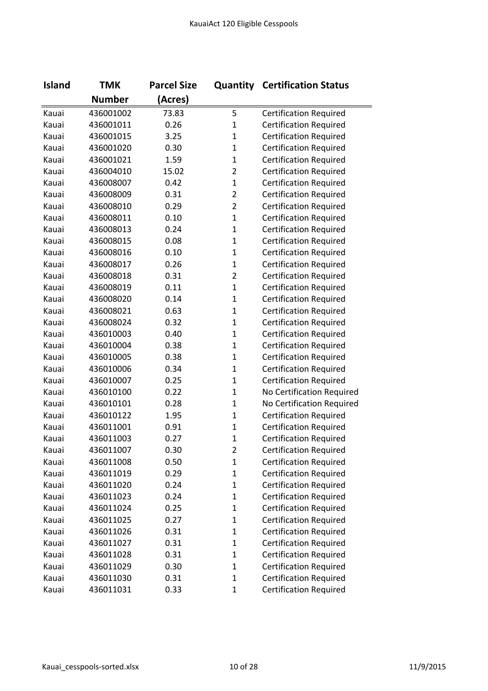| <b>Island</b> | <b>TMK</b>    | <b>Parcel Size</b> | Quantity       | <b>Certification Status</b>   |
|---------------|---------------|--------------------|----------------|-------------------------------|
|               | <b>Number</b> | (Acres)            |                |                               |
| Kauai         | 436001002     | 73.83              | 5              | <b>Certification Required</b> |
| Kauai         | 436001011     | 0.26               | $\mathbf 1$    | <b>Certification Required</b> |
| Kauai         | 436001015     | 3.25               | $\mathbf 1$    | <b>Certification Required</b> |
| Kauai         | 436001020     | 0.30               | $\mathbf{1}$   | <b>Certification Required</b> |
| Kauai         | 436001021     | 1.59               | $\mathbf{1}$   | <b>Certification Required</b> |
| Kauai         | 436004010     | 15.02              | $\overline{2}$ | <b>Certification Required</b> |
| Kauai         | 436008007     | 0.42               | $\mathbf{1}$   | <b>Certification Required</b> |
| Kauai         | 436008009     | 0.31               | $\overline{2}$ | <b>Certification Required</b> |
| Kauai         | 436008010     | 0.29               | $\overline{2}$ | <b>Certification Required</b> |
| Kauai         | 436008011     | 0.10               | $\mathbf{1}$   | <b>Certification Required</b> |
| Kauai         | 436008013     | 0.24               | $\mathbf{1}$   | <b>Certification Required</b> |
| Kauai         | 436008015     | 0.08               | $\mathbf{1}$   | <b>Certification Required</b> |
| Kauai         | 436008016     | 0.10               | $\mathbf 1$    | <b>Certification Required</b> |
| Kauai         | 436008017     | 0.26               | $\mathbf{1}$   | <b>Certification Required</b> |
| Kauai         | 436008018     | 0.31               | $\overline{2}$ | <b>Certification Required</b> |
| Kauai         | 436008019     | 0.11               | $\mathbf{1}$   | <b>Certification Required</b> |
| Kauai         | 436008020     | 0.14               | $\mathbf 1$    | <b>Certification Required</b> |
| Kauai         | 436008021     | 0.63               | $\mathbf{1}$   | <b>Certification Required</b> |
| Kauai         | 436008024     | 0.32               | $\mathbf 1$    | <b>Certification Required</b> |
| Kauai         | 436010003     | 0.40               | $\mathbf 1$    | <b>Certification Required</b> |
| Kauai         | 436010004     | 0.38               | $\mathbf{1}$   | <b>Certification Required</b> |
| Kauai         | 436010005     | 0.38               | $\mathbf{1}$   | <b>Certification Required</b> |
| Kauai         | 436010006     | 0.34               | $\mathbf{1}$   | <b>Certification Required</b> |
| Kauai         | 436010007     | 0.25               | $\mathbf{1}$   | <b>Certification Required</b> |
| Kauai         | 436010100     | 0.22               | $\mathbf{1}$   | No Certification Required     |
| Kauai         | 436010101     | 0.28               | $\mathbf{1}$   | No Certification Required     |
| Kauai         | 436010122     | 1.95               | $\mathbf{1}$   | <b>Certification Required</b> |
| Kauai         | 436011001     | 0.91               | $\mathbf 1$    | <b>Certification Required</b> |
| Kauai         | 436011003     | 0.27               | $\mathbf{1}$   | <b>Certification Required</b> |
| Kauai         | 436011007     | 0.30               | 2              | <b>Certification Required</b> |
| Kauai         | 436011008     | 0.50               | $\mathbf 1$    | <b>Certification Required</b> |
| Kauai         | 436011019     | 0.29               | $\mathbf{1}$   | <b>Certification Required</b> |
| Kauai         | 436011020     | 0.24               | $\mathbf 1$    | <b>Certification Required</b> |
| Kauai         | 436011023     | 0.24               | $\mathbf 1$    | <b>Certification Required</b> |
| Kauai         | 436011024     | 0.25               | $\mathbf 1$    | <b>Certification Required</b> |
| Kauai         | 436011025     | 0.27               | $\mathbf{1}$   | <b>Certification Required</b> |
| Kauai         | 436011026     | 0.31               | $\mathbf 1$    | <b>Certification Required</b> |
| Kauai         | 436011027     | 0.31               | $\mathbf 1$    | <b>Certification Required</b> |
| Kauai         | 436011028     | 0.31               | $\mathbf 1$    | <b>Certification Required</b> |
| Kauai         | 436011029     | 0.30               | $\mathbf 1$    | <b>Certification Required</b> |
| Kauai         | 436011030     | 0.31               | $\mathbf 1$    | <b>Certification Required</b> |
| Kauai         | 436011031     | 0.33               | $\mathbf{1}$   | <b>Certification Required</b> |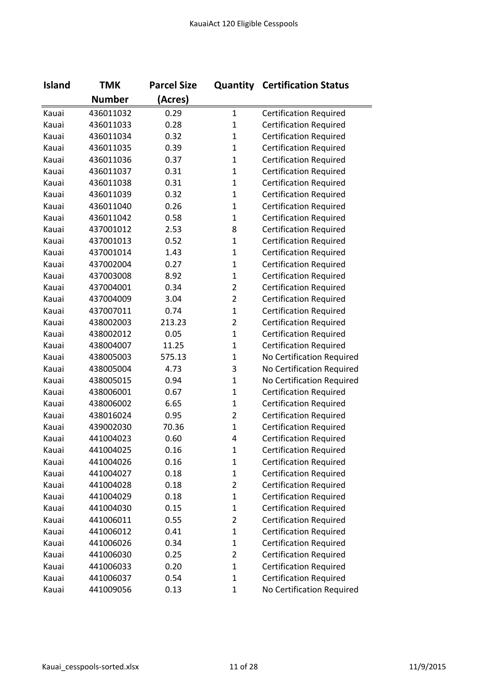| <b>Island</b> | <b>TMK</b>    | <b>Parcel Size</b> |                | <b>Quantity Certification Status</b> |
|---------------|---------------|--------------------|----------------|--------------------------------------|
|               | <b>Number</b> | (Acres)            |                |                                      |
| Kauai         | 436011032     | 0.29               | $\mathbf{1}$   | <b>Certification Required</b>        |
| Kauai         | 436011033     | 0.28               | $\mathbf{1}$   | <b>Certification Required</b>        |
| Kauai         | 436011034     | 0.32               | $\mathbf{1}$   | <b>Certification Required</b>        |
| Kauai         | 436011035     | 0.39               | $\mathbf{1}$   | <b>Certification Required</b>        |
| Kauai         | 436011036     | 0.37               | $\mathbf{1}$   | <b>Certification Required</b>        |
| Kauai         | 436011037     | 0.31               | $\mathbf{1}$   | <b>Certification Required</b>        |
| Kauai         | 436011038     | 0.31               | $\mathbf{1}$   | <b>Certification Required</b>        |
| Kauai         | 436011039     | 0.32               | $\mathbf{1}$   | <b>Certification Required</b>        |
| Kauai         | 436011040     | 0.26               | $\mathbf{1}$   | <b>Certification Required</b>        |
| Kauai         | 436011042     | 0.58               | $\mathbf{1}$   | <b>Certification Required</b>        |
| Kauai         | 437001012     | 2.53               | 8              | <b>Certification Required</b>        |
| Kauai         | 437001013     | 0.52               | $\mathbf{1}$   | <b>Certification Required</b>        |
| Kauai         | 437001014     | 1.43               | $\mathbf{1}$   | <b>Certification Required</b>        |
| Kauai         | 437002004     | 0.27               | $\mathbf{1}$   | <b>Certification Required</b>        |
| Kauai         | 437003008     | 8.92               | $\mathbf{1}$   | <b>Certification Required</b>        |
| Kauai         | 437004001     | 0.34               | $\overline{2}$ | <b>Certification Required</b>        |
| Kauai         | 437004009     | 3.04               | $\overline{2}$ | <b>Certification Required</b>        |
| Kauai         | 437007011     | 0.74               | $\mathbf{1}$   | <b>Certification Required</b>        |
| Kauai         | 438002003     | 213.23             | $\overline{2}$ | <b>Certification Required</b>        |
| Kauai         | 438002012     | 0.05               | $\mathbf{1}$   | <b>Certification Required</b>        |
| Kauai         | 438004007     | 11.25              | $\mathbf{1}$   | <b>Certification Required</b>        |
| Kauai         | 438005003     | 575.13             | $\mathbf{1}$   | No Certification Required            |
| Kauai         | 438005004     | 4.73               | 3              | No Certification Required            |
| Kauai         | 438005015     | 0.94               | $\mathbf{1}$   | No Certification Required            |
| Kauai         | 438006001     | 0.67               | $\mathbf{1}$   | <b>Certification Required</b>        |
| Kauai         | 438006002     | 6.65               | $\mathbf{1}$   | <b>Certification Required</b>        |
| Kauai         | 438016024     | 0.95               | $\overline{2}$ | <b>Certification Required</b>        |
| Kauai         | 439002030     | 70.36              | $\mathbf{1}$   | <b>Certification Required</b>        |
| Kauai         | 441004023     | 0.60               | 4              | <b>Certification Required</b>        |
| Kauai         | 441004025     | 0.16               | 1              | <b>Certification Required</b>        |
| Kauai         | 441004026     | 0.16               | $\mathbf{1}$   | <b>Certification Required</b>        |
| Kauai         | 441004027     | 0.18               | $\mathbf{1}$   | <b>Certification Required</b>        |
| Kauai         | 441004028     | 0.18               | $\overline{2}$ | <b>Certification Required</b>        |
| Kauai         | 441004029     | 0.18               | $\mathbf 1$    | <b>Certification Required</b>        |
| Kauai         | 441004030     | 0.15               | $\mathbf{1}$   | <b>Certification Required</b>        |
| Kauai         | 441006011     | 0.55               | $\overline{2}$ | <b>Certification Required</b>        |
| Kauai         | 441006012     | 0.41               | $\mathbf 1$    | <b>Certification Required</b>        |
| Kauai         | 441006026     | 0.34               | $\mathbf{1}$   | <b>Certification Required</b>        |
| Kauai         | 441006030     | 0.25               | $\overline{2}$ | <b>Certification Required</b>        |
| Kauai         | 441006033     | 0.20               | $\mathbf{1}$   | <b>Certification Required</b>        |
| Kauai         | 441006037     | 0.54               | $\mathbf{1}$   | <b>Certification Required</b>        |
| Kauai         | 441009056     | 0.13               | $\mathbf{1}$   | No Certification Required            |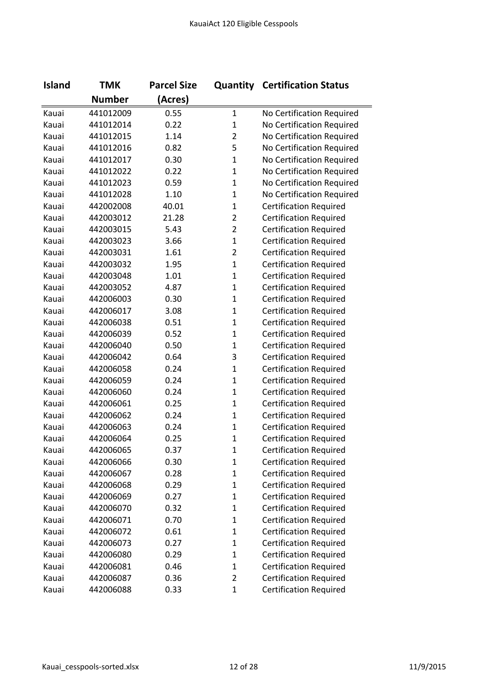| <b>Island</b> | <b>TMK</b>    | <b>Parcel Size</b> |                | <b>Quantity Certification Status</b> |
|---------------|---------------|--------------------|----------------|--------------------------------------|
|               | <b>Number</b> | (Acres)            |                |                                      |
| Kauai         | 441012009     | 0.55               | $\mathbf{1}$   | No Certification Required            |
| Kauai         | 441012014     | 0.22               | $\mathbf{1}$   | No Certification Required            |
| Kauai         | 441012015     | 1.14               | $\overline{2}$ | No Certification Required            |
| Kauai         | 441012016     | 0.82               | 5              | No Certification Required            |
| Kauai         | 441012017     | 0.30               | $\mathbf{1}$   | No Certification Required            |
| Kauai         | 441012022     | 0.22               | $\mathbf{1}$   | No Certification Required            |
| Kauai         | 441012023     | 0.59               | $\mathbf{1}$   | No Certification Required            |
| Kauai         | 441012028     | 1.10               | $\mathbf{1}$   | No Certification Required            |
| Kauai         | 442002008     | 40.01              | $\mathbf{1}$   | <b>Certification Required</b>        |
| Kauai         | 442003012     | 21.28              | $\overline{2}$ | <b>Certification Required</b>        |
| Kauai         | 442003015     | 5.43               | $\overline{2}$ | <b>Certification Required</b>        |
| Kauai         | 442003023     | 3.66               | $\mathbf{1}$   | <b>Certification Required</b>        |
| Kauai         | 442003031     | 1.61               | $\overline{2}$ | <b>Certification Required</b>        |
| Kauai         | 442003032     | 1.95               | $\mathbf{1}$   | <b>Certification Required</b>        |
| Kauai         | 442003048     | 1.01               | $\mathbf{1}$   | <b>Certification Required</b>        |
| Kauai         | 442003052     | 4.87               | $\mathbf{1}$   | <b>Certification Required</b>        |
| Kauai         | 442006003     | 0.30               | $\mathbf{1}$   | <b>Certification Required</b>        |
| Kauai         | 442006017     | 3.08               | $\mathbf{1}$   | <b>Certification Required</b>        |
| Kauai         | 442006038     | 0.51               | $\mathbf{1}$   | <b>Certification Required</b>        |
| Kauai         | 442006039     | 0.52               | $\mathbf 1$    | <b>Certification Required</b>        |
| Kauai         | 442006040     | 0.50               | $\mathbf{1}$   | <b>Certification Required</b>        |
| Kauai         | 442006042     | 0.64               | 3              | <b>Certification Required</b>        |
| Kauai         | 442006058     | 0.24               | $\mathbf{1}$   | <b>Certification Required</b>        |
| Kauai         | 442006059     | 0.24               | $\mathbf{1}$   | <b>Certification Required</b>        |
| Kauai         | 442006060     | 0.24               | $\mathbf{1}$   | <b>Certification Required</b>        |
| Kauai         | 442006061     | 0.25               | $\mathbf{1}$   | <b>Certification Required</b>        |
| Kauai         | 442006062     | 0.24               | $\mathbf{1}$   | <b>Certification Required</b>        |
| Kauai         | 442006063     | 0.24               | $\mathbf{1}$   | <b>Certification Required</b>        |
| Kauai         | 442006064     | 0.25               | $\mathbf{1}$   | <b>Certification Required</b>        |
| Kauai         | 442006065     | 0.37               | 1              | <b>Certification Required</b>        |
| Kauai         | 442006066     | 0.30               | $\mathbf{1}$   | <b>Certification Required</b>        |
| Kauai         | 442006067     | 0.28               | $\mathbf{1}$   | <b>Certification Required</b>        |
| Kauai         | 442006068     | 0.29               | $\mathbf{1}$   | <b>Certification Required</b>        |
| Kauai         | 442006069     | 0.27               | $\mathbf{1}$   | <b>Certification Required</b>        |
| Kauai         | 442006070     | 0.32               | $\mathbf{1}$   | <b>Certification Required</b>        |
| Kauai         | 442006071     | 0.70               | $\mathbf{1}$   | <b>Certification Required</b>        |
| Kauai         | 442006072     | 0.61               | $\mathbf{1}$   | <b>Certification Required</b>        |
| Kauai         | 442006073     | 0.27               | $\mathbf{1}$   | <b>Certification Required</b>        |
| Kauai         | 442006080     | 0.29               | $\mathbf 1$    | <b>Certification Required</b>        |
| Kauai         | 442006081     | 0.46               | $\mathbf{1}$   | <b>Certification Required</b>        |
| Kauai         | 442006087     | 0.36               | $\overline{2}$ | <b>Certification Required</b>        |
| Kauai         | 442006088     | 0.33               | $\mathbf 1$    | <b>Certification Required</b>        |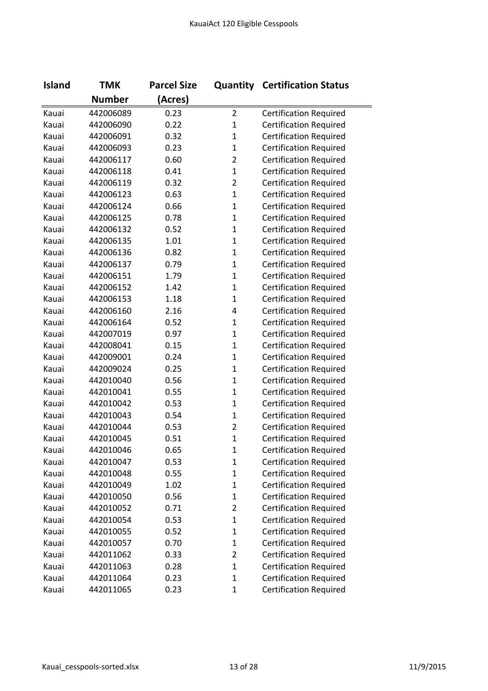| <b>Island</b> | <b>TMK</b>    | <b>Parcel Size</b> |                | <b>Quantity Certification Status</b> |
|---------------|---------------|--------------------|----------------|--------------------------------------|
|               | <b>Number</b> | (Acres)            |                |                                      |
| Kauai         | 442006089     | 0.23               | $\overline{2}$ | <b>Certification Required</b>        |
| Kauai         | 442006090     | 0.22               | $\mathbf 1$    | <b>Certification Required</b>        |
| Kauai         | 442006091     | 0.32               | 1              | <b>Certification Required</b>        |
| Kauai         | 442006093     | 0.23               | $\mathbf{1}$   | <b>Certification Required</b>        |
| Kauai         | 442006117     | 0.60               | $\overline{2}$ | <b>Certification Required</b>        |
| Kauai         | 442006118     | 0.41               | $\mathbf 1$    | <b>Certification Required</b>        |
| Kauai         | 442006119     | 0.32               | $\overline{2}$ | <b>Certification Required</b>        |
| Kauai         | 442006123     | 0.63               | 1              | <b>Certification Required</b>        |
| Kauai         | 442006124     | 0.66               | $\mathbf{1}$   | <b>Certification Required</b>        |
| Kauai         | 442006125     | 0.78               | $\mathbf{1}$   | <b>Certification Required</b>        |
| Kauai         | 442006132     | 0.52               | $\mathbf 1$    | <b>Certification Required</b>        |
| Kauai         | 442006135     | 1.01               | $\mathbf 1$    | <b>Certification Required</b>        |
| Kauai         | 442006136     | 0.82               | 1              | <b>Certification Required</b>        |
| Kauai         | 442006137     | 0.79               | 1              | <b>Certification Required</b>        |
| Kauai         | 442006151     | 1.79               | $\mathbf{1}$   | <b>Certification Required</b>        |
| Kauai         | 442006152     | 1.42               | $\mathbf{1}$   | <b>Certification Required</b>        |
| Kauai         | 442006153     | 1.18               | $\mathbf{1}$   | <b>Certification Required</b>        |
| Kauai         | 442006160     | 2.16               | 4              | <b>Certification Required</b>        |
| Kauai         | 442006164     | 0.52               | 1              | <b>Certification Required</b>        |
| Kauai         | 442007019     | 0.97               | $\mathbf{1}$   | <b>Certification Required</b>        |
| Kauai         | 442008041     | 0.15               | 1              | <b>Certification Required</b>        |
| Kauai         | 442009001     | 0.24               | $\mathbf 1$    | <b>Certification Required</b>        |
| Kauai         | 442009024     | 0.25               | $\mathbf 1$    | <b>Certification Required</b>        |
| Kauai         | 442010040     | 0.56               | 1              | <b>Certification Required</b>        |
| Kauai         | 442010041     | 0.55               | 1              | <b>Certification Required</b>        |
| Kauai         | 442010042     | 0.53               | 1              | <b>Certification Required</b>        |
| Kauai         | 442010043     | 0.54               | 1              | <b>Certification Required</b>        |
| Kauai         | 442010044     | 0.53               | 2              | <b>Certification Required</b>        |
| Kauai         | 442010045     | 0.51               | $\mathbf{1}$   | <b>Certification Required</b>        |
| Kauai         | 442010046     | 0.65               | 1              | <b>Certification Required</b>        |
| Kauai         | 442010047     | 0.53               | $\mathbf 1$    | <b>Certification Required</b>        |
| Kauai         | 442010048     | 0.55               | 1              | <b>Certification Required</b>        |
| Kauai         | 442010049     | 1.02               | 1              | <b>Certification Required</b>        |
| Kauai         | 442010050     | 0.56               | 1              | <b>Certification Required</b>        |
| Kauai         | 442010052     | 0.71               | $\overline{2}$ | <b>Certification Required</b>        |
| Kauai         | 442010054     | 0.53               | 1              | <b>Certification Required</b>        |
| Kauai         | 442010055     | 0.52               | 1              | <b>Certification Required</b>        |
| Kauai         | 442010057     | 0.70               | 1              | <b>Certification Required</b>        |
| Kauai         | 442011062     | 0.33               | 2              | <b>Certification Required</b>        |
| Kauai         | 442011063     | 0.28               | $\mathbf{1}$   | <b>Certification Required</b>        |
| Kauai         | 442011064     | 0.23               | 1              | <b>Certification Required</b>        |
| Kauai         | 442011065     | 0.23               | 1              | <b>Certification Required</b>        |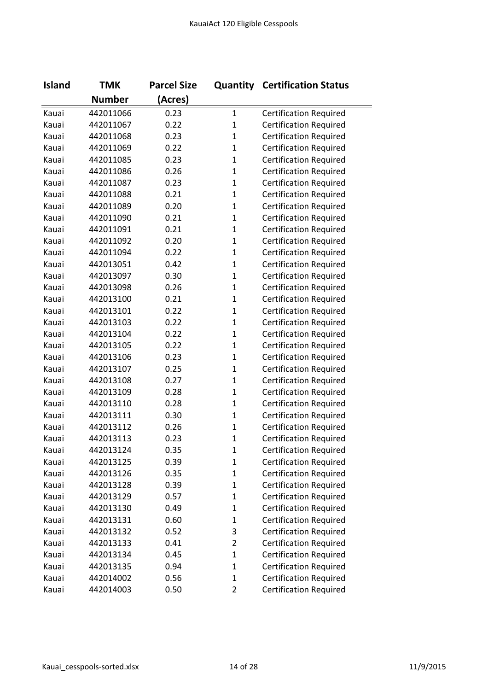| <b>Island</b> | <b>TMK</b>    | <b>Parcel Size</b> |                | <b>Quantity Certification Status</b> |
|---------------|---------------|--------------------|----------------|--------------------------------------|
|               | <b>Number</b> | (Acres)            |                |                                      |
| Kauai         | 442011066     | 0.23               | $\mathbf 1$    | <b>Certification Required</b>        |
| Kauai         | 442011067     | 0.22               | $\mathbf 1$    | <b>Certification Required</b>        |
| Kauai         | 442011068     | 0.23               | $\mathbf{1}$   | <b>Certification Required</b>        |
| Kauai         | 442011069     | 0.22               | $\mathbf{1}$   | <b>Certification Required</b>        |
| Kauai         | 442011085     | 0.23               | $\mathbf{1}$   | <b>Certification Required</b>        |
| Kauai         | 442011086     | 0.26               | $\mathbf{1}$   | <b>Certification Required</b>        |
| Kauai         | 442011087     | 0.23               | $\mathbf{1}$   | <b>Certification Required</b>        |
| Kauai         | 442011088     | 0.21               | $\mathbf 1$    | <b>Certification Required</b>        |
| Kauai         | 442011089     | 0.20               | $\mathbf{1}$   | <b>Certification Required</b>        |
| Kauai         | 442011090     | 0.21               | $\mathbf{1}$   | <b>Certification Required</b>        |
| Kauai         | 442011091     | 0.21               | $\mathbf{1}$   | <b>Certification Required</b>        |
| Kauai         | 442011092     | 0.20               | $\mathbf{1}$   | <b>Certification Required</b>        |
| Kauai         | 442011094     | 0.22               | $\mathbf 1$    | <b>Certification Required</b>        |
| Kauai         | 442013051     | 0.42               | $\mathbf{1}$   | <b>Certification Required</b>        |
| Kauai         | 442013097     | 0.30               | $\mathbf{1}$   | <b>Certification Required</b>        |
| Kauai         | 442013098     | 0.26               | $\mathbf{1}$   | <b>Certification Required</b>        |
| Kauai         | 442013100     | 0.21               | $\mathbf{1}$   | <b>Certification Required</b>        |
| Kauai         | 442013101     | 0.22               | $\mathbf{1}$   | <b>Certification Required</b>        |
| Kauai         | 442013103     | 0.22               | $\mathbf 1$    | <b>Certification Required</b>        |
| Kauai         | 442013104     | 0.22               | $\mathbf{1}$   | <b>Certification Required</b>        |
| Kauai         | 442013105     | 0.22               | $\mathbf{1}$   | <b>Certification Required</b>        |
| Kauai         | 442013106     | 0.23               | $\mathbf{1}$   | <b>Certification Required</b>        |
| Kauai         | 442013107     | 0.25               | $\mathbf{1}$   | <b>Certification Required</b>        |
| Kauai         | 442013108     | 0.27               | $\mathbf{1}$   | <b>Certification Required</b>        |
| Kauai         | 442013109     | 0.28               | $\mathbf{1}$   | <b>Certification Required</b>        |
| Kauai         | 442013110     | 0.28               | $\mathbf{1}$   | <b>Certification Required</b>        |
| Kauai         | 442013111     | 0.30               | $\mathbf{1}$   | <b>Certification Required</b>        |
| Kauai         | 442013112     | 0.26               | $\mathbf{1}$   | <b>Certification Required</b>        |
| Kauai         | 442013113     | 0.23               | $\mathbf{1}$   | <b>Certification Required</b>        |
| Kauai         | 442013124     | 0.35               | 1              | <b>Certification Required</b>        |
| Kauai         | 442013125     | 0.39               | $\mathbf{1}$   | <b>Certification Required</b>        |
| Kauai         | 442013126     | 0.35               | $\mathbf{1}$   | <b>Certification Required</b>        |
| Kauai         | 442013128     | 0.39               | $\mathbf{1}$   | <b>Certification Required</b>        |
| Kauai         | 442013129     | 0.57               | $\mathbf{1}$   | <b>Certification Required</b>        |
| Kauai         | 442013130     | 0.49               | $\mathbf{1}$   | <b>Certification Required</b>        |
| Kauai         | 442013131     | 0.60               | $\mathbf{1}$   | <b>Certification Required</b>        |
| Kauai         | 442013132     | 0.52               | 3              | <b>Certification Required</b>        |
| Kauai         | 442013133     | 0.41               | $\overline{2}$ | <b>Certification Required</b>        |
| Kauai         | 442013134     | 0.45               | $\mathbf{1}$   | <b>Certification Required</b>        |
| Kauai         | 442013135     | 0.94               | $\mathbf{1}$   | <b>Certification Required</b>        |
| Kauai         | 442014002     | 0.56               | $\mathbf 1$    | <b>Certification Required</b>        |
| Kauai         | 442014003     | 0.50               | $\overline{2}$ | <b>Certification Required</b>        |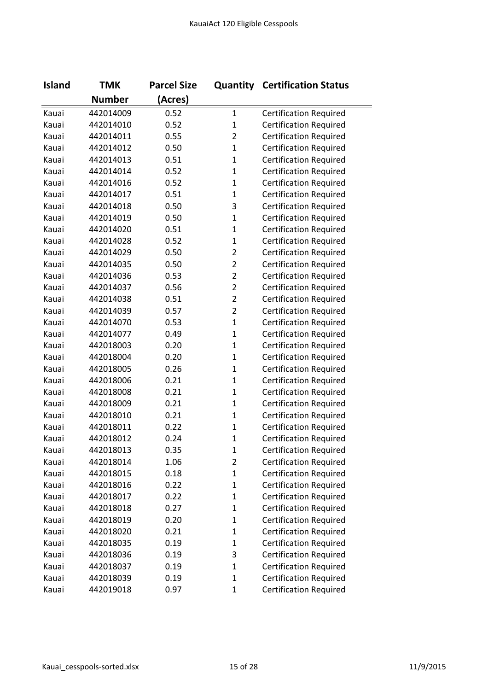| <b>Island</b> | <b>TMK</b>    | <b>Parcel Size</b> |                | <b>Quantity Certification Status</b> |
|---------------|---------------|--------------------|----------------|--------------------------------------|
|               | <b>Number</b> | (Acres)            |                |                                      |
| Kauai         | 442014009     | 0.52               | $\mathbf 1$    | <b>Certification Required</b>        |
| Kauai         | 442014010     | 0.52               | $\mathbf{1}$   | <b>Certification Required</b>        |
| Kauai         | 442014011     | 0.55               | $\overline{2}$ | <b>Certification Required</b>        |
| Kauai         | 442014012     | 0.50               | $\mathbf{1}$   | <b>Certification Required</b>        |
| Kauai         | 442014013     | 0.51               | $\mathbf{1}$   | <b>Certification Required</b>        |
| Kauai         | 442014014     | 0.52               | $\mathbf{1}$   | <b>Certification Required</b>        |
| Kauai         | 442014016     | 0.52               | $\mathbf 1$    | <b>Certification Required</b>        |
| Kauai         | 442014017     | 0.51               | 1              | <b>Certification Required</b>        |
| Kauai         | 442014018     | 0.50               | 3              | <b>Certification Required</b>        |
| Kauai         | 442014019     | 0.50               | $\mathbf{1}$   | <b>Certification Required</b>        |
| Kauai         | 442014020     | 0.51               | 1              | <b>Certification Required</b>        |
| Kauai         | 442014028     | 0.52               | $\mathbf{1}$   | <b>Certification Required</b>        |
| Kauai         | 442014029     | 0.50               | $\overline{2}$ | <b>Certification Required</b>        |
| Kauai         | 442014035     | 0.50               | $\overline{2}$ | <b>Certification Required</b>        |
| Kauai         | 442014036     | 0.53               | $\overline{2}$ | <b>Certification Required</b>        |
| Kauai         | 442014037     | 0.56               | $\overline{2}$ | <b>Certification Required</b>        |
| Kauai         | 442014038     | 0.51               | $\overline{2}$ | <b>Certification Required</b>        |
| Kauai         | 442014039     | 0.57               | $\overline{2}$ | <b>Certification Required</b>        |
| Kauai         | 442014070     | 0.53               | 1              | <b>Certification Required</b>        |
| Kauai         | 442014077     | 0.49               | 1              | <b>Certification Required</b>        |
| Kauai         | 442018003     | 0.20               | $\mathbf 1$    | <b>Certification Required</b>        |
| Kauai         | 442018004     | 0.20               | 1              | <b>Certification Required</b>        |
| Kauai         | 442018005     | 0.26               | $\mathbf{1}$   | <b>Certification Required</b>        |
| Kauai         | 442018006     | 0.21               | 1              | <b>Certification Required</b>        |
| Kauai         | 442018008     | 0.21               | 1              | <b>Certification Required</b>        |
| Kauai         | 442018009     | 0.21               | $\mathbf{1}$   | <b>Certification Required</b>        |
| Kauai         | 442018010     | 0.21               | $\mathbf{1}$   | <b>Certification Required</b>        |
| Kauai         | 442018011     | 0.22               | 1              | <b>Certification Required</b>        |
| Kauai         | 442018012     | 0.24               | 1              | <b>Certification Required</b>        |
| Kauai         | 442018013     | 0.35               | 1              | <b>Certification Required</b>        |
| Kauai         | 442018014     | 1.06               | $\overline{2}$ | <b>Certification Required</b>        |
| Kauai         | 442018015     | 0.18               | $\mathbf{1}$   | <b>Certification Required</b>        |
| Kauai         | 442018016     | 0.22               | 1              | <b>Certification Required</b>        |
| Kauai         | 442018017     | 0.22               | 1              | <b>Certification Required</b>        |
| Kauai         | 442018018     | 0.27               | 1              | <b>Certification Required</b>        |
| Kauai         | 442018019     | 0.20               | 1              | <b>Certification Required</b>        |
| Kauai         | 442018020     | 0.21               | $\mathbf{1}$   | <b>Certification Required</b>        |
| Kauai         | 442018035     | 0.19               | 1              | <b>Certification Required</b>        |
| Kauai         | 442018036     | 0.19               | 3              | <b>Certification Required</b>        |
| Kauai         | 442018037     | 0.19               | 1              | <b>Certification Required</b>        |
| Kauai         | 442018039     | 0.19               | 1              | <b>Certification Required</b>        |
| Kauai         | 442019018     | 0.97               | 1              | <b>Certification Required</b>        |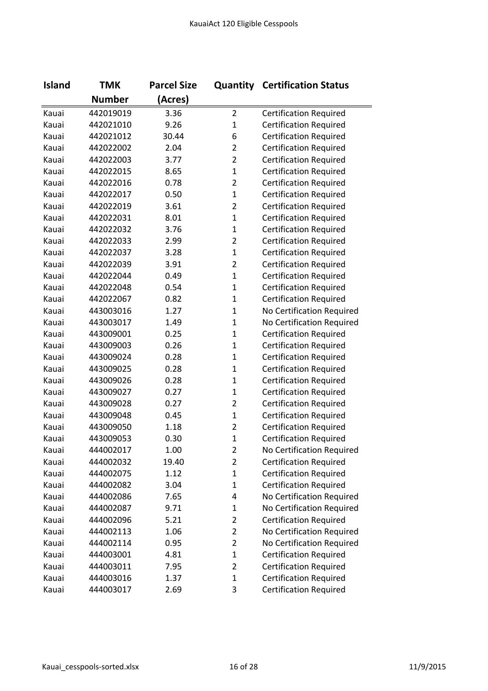| <b>Island</b> | <b>TMK</b>    | <b>Parcel Size</b> |                | <b>Quantity Certification Status</b> |
|---------------|---------------|--------------------|----------------|--------------------------------------|
|               | <b>Number</b> | (Acres)            |                |                                      |
| Kauai         | 442019019     | 3.36               | $\overline{2}$ | <b>Certification Required</b>        |
| Kauai         | 442021010     | 9.26               | $\mathbf{1}$   | <b>Certification Required</b>        |
| Kauai         | 442021012     | 30.44              | 6              | <b>Certification Required</b>        |
| Kauai         | 442022002     | 2.04               | $\overline{2}$ | <b>Certification Required</b>        |
| Kauai         | 442022003     | 3.77               | $\overline{2}$ | <b>Certification Required</b>        |
| Kauai         | 442022015     | 8.65               | $\mathbf{1}$   | <b>Certification Required</b>        |
| Kauai         | 442022016     | 0.78               | $\overline{2}$ | <b>Certification Required</b>        |
| Kauai         | 442022017     | 0.50               | $\mathbf{1}$   | <b>Certification Required</b>        |
| Kauai         | 442022019     | 3.61               | $\overline{2}$ | <b>Certification Required</b>        |
| Kauai         | 442022031     | 8.01               | $\mathbf{1}$   | <b>Certification Required</b>        |
| Kauai         | 442022032     | 3.76               | $\mathbf{1}$   | <b>Certification Required</b>        |
| Kauai         | 442022033     | 2.99               | $\overline{2}$ | <b>Certification Required</b>        |
| Kauai         | 442022037     | 3.28               | $\mathbf{1}$   | <b>Certification Required</b>        |
| Kauai         | 442022039     | 3.91               | $\overline{2}$ | <b>Certification Required</b>        |
| Kauai         | 442022044     | 0.49               | $\mathbf{1}$   | <b>Certification Required</b>        |
| Kauai         | 442022048     | 0.54               | $\mathbf{1}$   | <b>Certification Required</b>        |
| Kauai         | 442022067     | 0.82               | $\mathbf{1}$   | <b>Certification Required</b>        |
| Kauai         | 443003016     | 1.27               | $\mathbf{1}$   | No Certification Required            |
| Kauai         | 443003017     | 1.49               | $\mathbf{1}$   | No Certification Required            |
| Kauai         | 443009001     | 0.25               | $\mathbf{1}$   | <b>Certification Required</b>        |
| Kauai         | 443009003     | 0.26               | $\mathbf{1}$   | <b>Certification Required</b>        |
| Kauai         | 443009024     | 0.28               | $\mathbf{1}$   | <b>Certification Required</b>        |
| Kauai         | 443009025     | 0.28               | $\mathbf{1}$   | <b>Certification Required</b>        |
| Kauai         | 443009026     | 0.28               | $\mathbf{1}$   | <b>Certification Required</b>        |
| Kauai         | 443009027     | 0.27               | $\mathbf{1}$   | <b>Certification Required</b>        |
| Kauai         | 443009028     | 0.27               | $\overline{2}$ | <b>Certification Required</b>        |
| Kauai         | 443009048     | 0.45               | $\mathbf{1}$   | <b>Certification Required</b>        |
| Kauai         | 443009050     | 1.18               | $\overline{2}$ | <b>Certification Required</b>        |
| Kauai         | 443009053     | 0.30               | $\mathbf{1}$   | <b>Certification Required</b>        |
| Kauai         | 444002017     | 1.00               | 2              | No Certification Required            |
| Kauai         | 444002032     | 19.40              | $\overline{2}$ | <b>Certification Required</b>        |
| Kauai         | 444002075     | 1.12               | $\mathbf 1$    | <b>Certification Required</b>        |
| Kauai         | 444002082     | 3.04               | $\mathbf{1}$   | <b>Certification Required</b>        |
| Kauai         | 444002086     | 7.65               | 4              | No Certification Required            |
| Kauai         | 444002087     | 9.71               | 1              | No Certification Required            |
| Kauai         | 444002096     | 5.21               | $\overline{2}$ | <b>Certification Required</b>        |
| Kauai         | 444002113     | 1.06               | $\overline{2}$ | No Certification Required            |
| Kauai         | 444002114     | 0.95               | 2              | No Certification Required            |
| Kauai         | 444003001     | 4.81               | $\mathbf 1$    | <b>Certification Required</b>        |
| Kauai         | 444003011     | 7.95               | $\overline{2}$ | <b>Certification Required</b>        |
| Kauai         | 444003016     | 1.37               | $\mathbf{1}$   | <b>Certification Required</b>        |
| Kauai         | 444003017     | 2.69               | 3              | <b>Certification Required</b>        |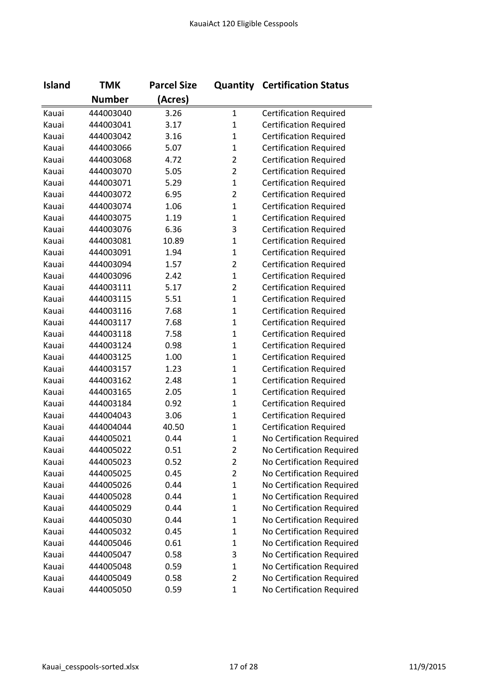| <b>Island</b> | <b>TMK</b>    | <b>Parcel Size</b> |                | <b>Quantity Certification Status</b> |
|---------------|---------------|--------------------|----------------|--------------------------------------|
|               | <b>Number</b> | (Acres)            |                |                                      |
| Kauai         | 444003040     | 3.26               | $\mathbf{1}$   | <b>Certification Required</b>        |
| Kauai         | 444003041     | 3.17               | $\mathbf 1$    | <b>Certification Required</b>        |
| Kauai         | 444003042     | 3.16               | $\mathbf 1$    | <b>Certification Required</b>        |
| Kauai         | 444003066     | 5.07               | $\mathbf{1}$   | <b>Certification Required</b>        |
| Kauai         | 444003068     | 4.72               | $\overline{2}$ | <b>Certification Required</b>        |
| Kauai         | 444003070     | 5.05               | $\overline{2}$ | <b>Certification Required</b>        |
| Kauai         | 444003071     | 5.29               | $\mathbf{1}$   | <b>Certification Required</b>        |
| Kauai         | 444003072     | 6.95               | $\overline{2}$ | <b>Certification Required</b>        |
| Kauai         | 444003074     | 1.06               | $\mathbf{1}$   | <b>Certification Required</b>        |
| Kauai         | 444003075     | 1.19               | $\mathbf{1}$   | <b>Certification Required</b>        |
| Kauai         | 444003076     | 6.36               | 3              | <b>Certification Required</b>        |
| Kauai         | 444003081     | 10.89              | $\mathbf{1}$   | <b>Certification Required</b>        |
| Kauai         | 444003091     | 1.94               | $\mathbf{1}$   | <b>Certification Required</b>        |
| Kauai         | 444003094     | 1.57               | $\overline{2}$ | <b>Certification Required</b>        |
| Kauai         | 444003096     | 2.42               | $\mathbf{1}$   | <b>Certification Required</b>        |
| Kauai         | 444003111     | 5.17               | $\overline{2}$ | <b>Certification Required</b>        |
| Kauai         | 444003115     | 5.51               | $\mathbf{1}$   | <b>Certification Required</b>        |
| Kauai         | 444003116     | 7.68               | $\mathbf{1}$   | <b>Certification Required</b>        |
| Kauai         | 444003117     | 7.68               | $\mathbf{1}$   | <b>Certification Required</b>        |
| Kauai         | 444003118     | 7.58               | $\mathbf{1}$   | <b>Certification Required</b>        |
| Kauai         | 444003124     | 0.98               | $\mathbf{1}$   | <b>Certification Required</b>        |
| Kauai         | 444003125     | 1.00               | $\mathbf{1}$   | <b>Certification Required</b>        |
| Kauai         | 444003157     | 1.23               | $\mathbf{1}$   | <b>Certification Required</b>        |
| Kauai         | 444003162     | 2.48               | $\mathbf{1}$   | <b>Certification Required</b>        |
| Kauai         | 444003165     | 2.05               | $\mathbf{1}$   | <b>Certification Required</b>        |
| Kauai         | 444003184     | 0.92               | $\mathbf{1}$   | <b>Certification Required</b>        |
| Kauai         | 444004043     | 3.06               | $\mathbf{1}$   | <b>Certification Required</b>        |
| Kauai         | 444004044     | 40.50              | $\mathbf{1}$   | <b>Certification Required</b>        |
| Kauai         | 444005021     | 0.44               | $\mathbf{1}$   | No Certification Required            |
| Kauai         | 444005022     | 0.51               | 2              | No Certification Required            |
| Kauai         | 444005023     | 0.52               | $\overline{2}$ | No Certification Required            |
| Kauai         | 444005025     | 0.45               | $\overline{2}$ | No Certification Required            |
| Kauai         | 444005026     | 0.44               | $\mathbf 1$    | No Certification Required            |
| Kauai         | 444005028     | 0.44               | $\mathbf 1$    | No Certification Required            |
| Kauai         | 444005029     | 0.44               | $\mathbf 1$    | No Certification Required            |
| Kauai         | 444005030     | 0.44               | $\mathbf 1$    | No Certification Required            |
| Kauai         | 444005032     | 0.45               | $\mathbf 1$    | No Certification Required            |
| Kauai         | 444005046     | 0.61               | $\mathbf{1}$   | No Certification Required            |
| Kauai         | 444005047     | 0.58               | 3              | No Certification Required            |
| Kauai         | 444005048     | 0.59               | $\mathbf{1}$   | No Certification Required            |
| Kauai         | 444005049     | 0.58               | $\overline{2}$ | No Certification Required            |
| Kauai         | 444005050     | 0.59               | $\mathbf 1$    | No Certification Required            |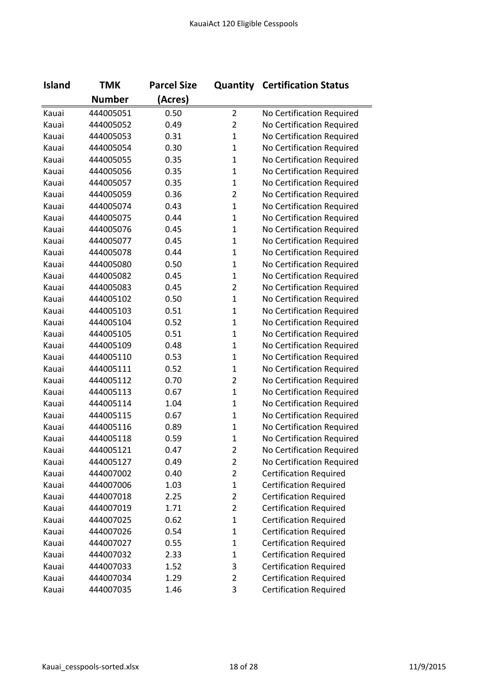| <b>Island</b> | <b>TMK</b>    | <b>Parcel Size</b> |                | <b>Quantity Certification Status</b> |
|---------------|---------------|--------------------|----------------|--------------------------------------|
|               | <b>Number</b> | (Acres)            |                |                                      |
| Kauai         | 444005051     | 0.50               | $\overline{2}$ | No Certification Required            |
| Kauai         | 444005052     | 0.49               | $\overline{2}$ | No Certification Required            |
| Kauai         | 444005053     | 0.31               | $\mathbf{1}$   | No Certification Required            |
| Kauai         | 444005054     | 0.30               | $\mathbf{1}$   | No Certification Required            |
| Kauai         | 444005055     | 0.35               | $\mathbf{1}$   | No Certification Required            |
| Kauai         | 444005056     | 0.35               | $\mathbf{1}$   | No Certification Required            |
| Kauai         | 444005057     | 0.35               | $\mathbf{1}$   | No Certification Required            |
| Kauai         | 444005059     | 0.36               | $\overline{2}$ | No Certification Required            |
| Kauai         | 444005074     | 0.43               | $\mathbf{1}$   | No Certification Required            |
| Kauai         | 444005075     | 0.44               | $\mathbf 1$    | No Certification Required            |
| Kauai         | 444005076     | 0.45               | $\mathbf{1}$   | No Certification Required            |
| Kauai         | 444005077     | 0.45               | $\mathbf{1}$   | No Certification Required            |
| Kauai         | 444005078     | 0.44               | $\mathbf{1}$   | No Certification Required            |
| Kauai         | 444005080     | 0.50               | $\mathbf{1}$   | No Certification Required            |
| Kauai         | 444005082     | 0.45               | $\mathbf{1}$   | No Certification Required            |
| Kauai         | 444005083     | 0.45               | $\overline{2}$ | No Certification Required            |
| Kauai         | 444005102     | 0.50               | $\mathbf{1}$   | No Certification Required            |
| Kauai         | 444005103     | 0.51               | $\mathbf{1}$   | No Certification Required            |
| Kauai         | 444005104     | 0.52               | $\mathbf 1$    | No Certification Required            |
| Kauai         | 444005105     | 0.51               | $\mathbf{1}$   | No Certification Required            |
| Kauai         | 444005109     | 0.48               | $\mathbf{1}$   | No Certification Required            |
| Kauai         | 444005110     | 0.53               | $\mathbf{1}$   | No Certification Required            |
| Kauai         | 444005111     | 0.52               | $\mathbf{1}$   | No Certification Required            |
| Kauai         | 444005112     | 0.70               | $\overline{2}$ | No Certification Required            |
| Kauai         | 444005113     | 0.67               | $\mathbf{1}$   | No Certification Required            |
| Kauai         | 444005114     | 1.04               | $\mathbf{1}$   | No Certification Required            |
| Kauai         | 444005115     | 0.67               | $\mathbf{1}$   | No Certification Required            |
| Kauai         | 444005116     | 0.89               | $\mathbf 1$    | No Certification Required            |
| Kauai         | 444005118     | 0.59               | $\mathbf{1}$   | No Certification Required            |
| Kauai         | 444005121     | 0.47               | 2              | No Certification Required            |
| Kauai         | 444005127     | 0.49               | $\overline{2}$ | No Certification Required            |
| Kauai         | 444007002     | 0.40               | $\overline{2}$ | <b>Certification Required</b>        |
| Kauai         | 444007006     | 1.03               | $\mathbf{1}$   | <b>Certification Required</b>        |
| Kauai         | 444007018     | 2.25               | $\overline{2}$ | <b>Certification Required</b>        |
| Kauai         | 444007019     | 1.71               | $\overline{2}$ | <b>Certification Required</b>        |
| Kauai         | 444007025     | 0.62               | $\mathbf{1}$   | <b>Certification Required</b>        |
| Kauai         | 444007026     | 0.54               | $\mathbf{1}$   | <b>Certification Required</b>        |
| Kauai         | 444007027     | 0.55               | $\mathbf{1}$   | <b>Certification Required</b>        |
| Kauai         | 444007032     | 2.33               | $\mathbf 1$    | <b>Certification Required</b>        |
| Kauai         | 444007033     | 1.52               | 3              | <b>Certification Required</b>        |
| Kauai         | 444007034     | 1.29               | $\overline{2}$ | <b>Certification Required</b>        |
| Kauai         | 444007035     | 1.46               | 3              | <b>Certification Required</b>        |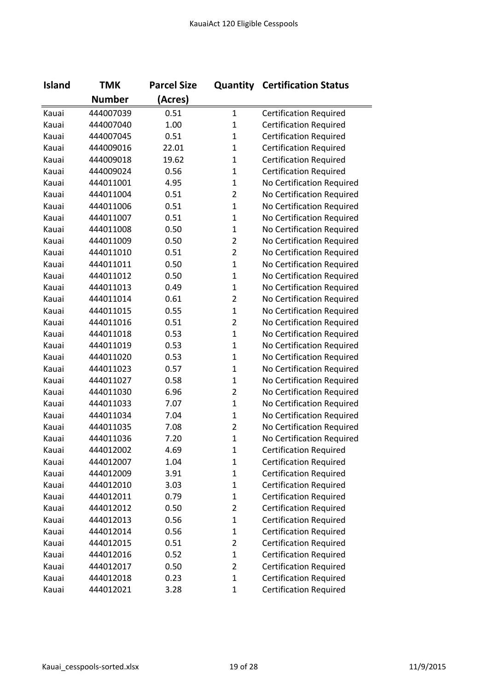| <b>Island</b> | <b>TMK</b>    | <b>Parcel Size</b> |                | <b>Quantity Certification Status</b> |
|---------------|---------------|--------------------|----------------|--------------------------------------|
|               | <b>Number</b> | (Acres)            |                |                                      |
| Kauai         | 444007039     | 0.51               | $\mathbf{1}$   | <b>Certification Required</b>        |
| Kauai         | 444007040     | 1.00               | $\mathbf 1$    | <b>Certification Required</b>        |
| Kauai         | 444007045     | 0.51               | $\mathbf 1$    | <b>Certification Required</b>        |
| Kauai         | 444009016     | 22.01              | $\mathbf{1}$   | <b>Certification Required</b>        |
| Kauai         | 444009018     | 19.62              | $\mathbf 1$    | <b>Certification Required</b>        |
| Kauai         | 444009024     | 0.56               | $\mathbf{1}$   | <b>Certification Required</b>        |
| Kauai         | 444011001     | 4.95               | $\mathbf{1}$   | No Certification Required            |
| Kauai         | 444011004     | 0.51               | $\overline{2}$ | No Certification Required            |
| Kauai         | 444011006     | 0.51               | $\mathbf{1}$   | No Certification Required            |
| Kauai         | 444011007     | 0.51               | $\mathbf 1$    | No Certification Required            |
| Kauai         | 444011008     | 0.50               | $\mathbf{1}$   | No Certification Required            |
| Kauai         | 444011009     | 0.50               | $\overline{2}$ | No Certification Required            |
| Kauai         | 444011010     | 0.51               | $\overline{2}$ | No Certification Required            |
| Kauai         | 444011011     | 0.50               | $\mathbf 1$    | No Certification Required            |
| Kauai         | 444011012     | 0.50               | $\mathbf{1}$   | No Certification Required            |
| Kauai         | 444011013     | 0.49               | $\mathbf{1}$   | No Certification Required            |
| Kauai         | 444011014     | 0.61               | $\overline{2}$ | No Certification Required            |
| Kauai         | 444011015     | 0.55               | $\mathbf{1}$   | No Certification Required            |
| Kauai         | 444011016     | 0.51               | $\overline{2}$ | No Certification Required            |
| Kauai         | 444011018     | 0.53               | $\mathbf{1}$   | No Certification Required            |
| Kauai         | 444011019     | 0.53               | $\mathbf 1$    | No Certification Required            |
| Kauai         | 444011020     | 0.53               | $\mathbf{1}$   | No Certification Required            |
| Kauai         | 444011023     | 0.57               | $\mathbf{1}$   | No Certification Required            |
| Kauai         | 444011027     | 0.58               | $\mathbf 1$    | No Certification Required            |
| Kauai         | 444011030     | 6.96               | $\overline{2}$ | No Certification Required            |
| Kauai         | 444011033     | 7.07               | $\mathbf{1}$   | No Certification Required            |
| Kauai         | 444011034     | 7.04               | $\mathbf{1}$   | No Certification Required            |
| Kauai         | 444011035     | 7.08               | $\overline{2}$ | No Certification Required            |
| Kauai         | 444011036     | 7.20               | $\mathbf{1}$   | No Certification Required            |
| Kauai         | 444012002     | 4.69               | 1              | <b>Certification Required</b>        |
| Kauai         | 444012007     | 1.04               | $\mathbf{1}$   | <b>Certification Required</b>        |
| Kauai         | 444012009     | 3.91               | $\mathbf 1$    | <b>Certification Required</b>        |
| Kauai         | 444012010     | 3.03               | $\mathbf 1$    | <b>Certification Required</b>        |
| Kauai         | 444012011     | 0.79               | $\mathbf 1$    | <b>Certification Required</b>        |
| Kauai         | 444012012     | 0.50               | 2              | <b>Certification Required</b>        |
| Kauai         | 444012013     | 0.56               | $\mathbf 1$    | <b>Certification Required</b>        |
| Kauai         | 444012014     | 0.56               | $\mathbf{1}$   | <b>Certification Required</b>        |
| Kauai         | 444012015     | 0.51               | 2              | <b>Certification Required</b>        |
| Kauai         | 444012016     | 0.52               | 1              | <b>Certification Required</b>        |
| Kauai         | 444012017     | 0.50               | $\overline{2}$ | <b>Certification Required</b>        |
| Kauai         | 444012018     | 0.23               | $\mathbf{1}$   | <b>Certification Required</b>        |
| Kauai         | 444012021     | 3.28               | $\mathbf{1}$   | <b>Certification Required</b>        |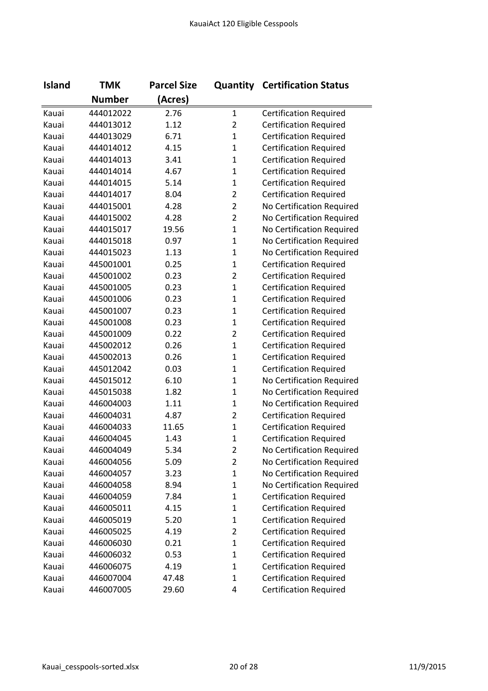| <b>Island</b> | <b>TMK</b>    | <b>Parcel Size</b> |                | <b>Quantity Certification Status</b> |
|---------------|---------------|--------------------|----------------|--------------------------------------|
|               | <b>Number</b> | (Acres)            |                |                                      |
| Kauai         | 444012022     | 2.76               | $\mathbf{1}$   | <b>Certification Required</b>        |
| Kauai         | 444013012     | 1.12               | $\overline{2}$ | <b>Certification Required</b>        |
| Kauai         | 444013029     | 6.71               | $\mathbf{1}$   | <b>Certification Required</b>        |
| Kauai         | 444014012     | 4.15               | $\mathbf{1}$   | <b>Certification Required</b>        |
| Kauai         | 444014013     | 3.41               | $\mathbf{1}$   | <b>Certification Required</b>        |
| Kauai         | 444014014     | 4.67               | $\mathbf{1}$   | <b>Certification Required</b>        |
| Kauai         | 444014015     | 5.14               | $\mathbf{1}$   | <b>Certification Required</b>        |
| Kauai         | 444014017     | 8.04               | $\overline{2}$ | <b>Certification Required</b>        |
| Kauai         | 444015001     | 4.28               | $\overline{2}$ | No Certification Required            |
| Kauai         | 444015002     | 4.28               | $\overline{2}$ | No Certification Required            |
| Kauai         | 444015017     | 19.56              | $\mathbf{1}$   | No Certification Required            |
| Kauai         | 444015018     | 0.97               | $\mathbf{1}$   | No Certification Required            |
| Kauai         | 444015023     | 1.13               | $\mathbf{1}$   | No Certification Required            |
| Kauai         | 445001001     | 0.25               | $\mathbf{1}$   | <b>Certification Required</b>        |
| Kauai         | 445001002     | 0.23               | $\overline{2}$ | <b>Certification Required</b>        |
| Kauai         | 445001005     | 0.23               | $\mathbf{1}$   | <b>Certification Required</b>        |
| Kauai         | 445001006     | 0.23               | $\mathbf 1$    | <b>Certification Required</b>        |
| Kauai         | 445001007     | 0.23               | $\mathbf{1}$   | <b>Certification Required</b>        |
| Kauai         | 445001008     | 0.23               | $\mathbf 1$    | <b>Certification Required</b>        |
| Kauai         | 445001009     | 0.22               | $\overline{2}$ | <b>Certification Required</b>        |
| Kauai         | 445002012     | 0.26               | $\mathbf{1}$   | <b>Certification Required</b>        |
| Kauai         | 445002013     | 0.26               | $\mathbf{1}$   | <b>Certification Required</b>        |
| Kauai         | 445012042     | 0.03               | $\mathbf{1}$   | <b>Certification Required</b>        |
| Kauai         | 445015012     | 6.10               | $\mathbf 1$    | No Certification Required            |
| Kauai         | 445015038     | 1.82               | $\mathbf{1}$   | No Certification Required            |
| Kauai         | 446004003     | 1.11               | $\mathbf{1}$   | No Certification Required            |
| Kauai         | 446004031     | 4.87               | $\overline{2}$ | <b>Certification Required</b>        |
| Kauai         | 446004033     | 11.65              | $\mathbf 1$    | <b>Certification Required</b>        |
| Kauai         | 446004045     | 1.43               | $\mathbf{1}$   | <b>Certification Required</b>        |
| Kauai         | 446004049     | 5.34               | 2              | No Certification Required            |
| Kauai         | 446004056     | 5.09               | 2              | No Certification Required            |
| Kauai         | 446004057     | 3.23               | $\mathbf 1$    | No Certification Required            |
| Kauai         | 446004058     | 8.94               | $\mathbf 1$    | No Certification Required            |
| Kauai         | 446004059     | 7.84               | $\mathbf 1$    | <b>Certification Required</b>        |
| Kauai         | 446005011     | 4.15               | $\mathbf 1$    | <b>Certification Required</b>        |
| Kauai         | 446005019     | 5.20               | $\mathbf{1}$   | <b>Certification Required</b>        |
| Kauai         | 446005025     | 4.19               | $\overline{2}$ | <b>Certification Required</b>        |
| Kauai         | 446006030     | 0.21               | $\mathbf 1$    | <b>Certification Required</b>        |
| Kauai         | 446006032     | 0.53               | $\mathbf 1$    | <b>Certification Required</b>        |
| Kauai         | 446006075     | 4.19               | $\mathbf 1$    | <b>Certification Required</b>        |
| Kauai         | 446007004     | 47.48              | $\mathbf 1$    | <b>Certification Required</b>        |
| Kauai         | 446007005     | 29.60              | 4              | <b>Certification Required</b>        |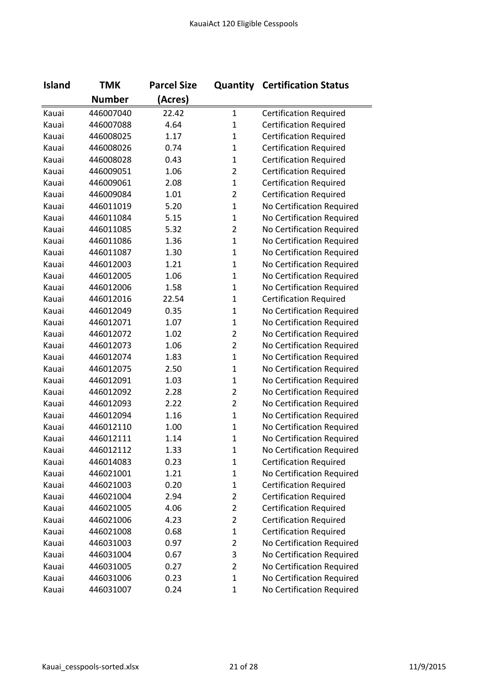| <b>Island</b> | <b>TMK</b>    | <b>Parcel Size</b> |                | <b>Quantity Certification Status</b> |
|---------------|---------------|--------------------|----------------|--------------------------------------|
|               | <b>Number</b> | (Acres)            |                |                                      |
| Kauai         | 446007040     | 22.42              | $\mathbf{1}$   | <b>Certification Required</b>        |
| Kauai         | 446007088     | 4.64               | $\mathbf 1$    | <b>Certification Required</b>        |
| Kauai         | 446008025     | 1.17               | $\mathbf 1$    | <b>Certification Required</b>        |
| Kauai         | 446008026     | 0.74               | $\mathbf{1}$   | <b>Certification Required</b>        |
| Kauai         | 446008028     | 0.43               | $\mathbf{1}$   | <b>Certification Required</b>        |
| Kauai         | 446009051     | 1.06               | $\overline{2}$ | <b>Certification Required</b>        |
| Kauai         | 446009061     | 2.08               | $\mathbf{1}$   | <b>Certification Required</b>        |
| Kauai         | 446009084     | 1.01               | $\overline{2}$ | <b>Certification Required</b>        |
| Kauai         | 446011019     | 5.20               | $\mathbf{1}$   | No Certification Required            |
| Kauai         | 446011084     | 5.15               | $\mathbf{1}$   | No Certification Required            |
| Kauai         | 446011085     | 5.32               | $\overline{2}$ | No Certification Required            |
| Kauai         | 446011086     | 1.36               | $\mathbf{1}$   | No Certification Required            |
| Kauai         | 446011087     | 1.30               | $\mathbf 1$    | No Certification Required            |
| Kauai         | 446012003     | 1.21               | $\mathbf 1$    | No Certification Required            |
| Kauai         | 446012005     | 1.06               | $\mathbf{1}$   | No Certification Required            |
| Kauai         | 446012006     | 1.58               | $\mathbf{1}$   | No Certification Required            |
| Kauai         | 446012016     | 22.54              | $\mathbf 1$    | <b>Certification Required</b>        |
| Kauai         | 446012049     | 0.35               | $\mathbf{1}$   | No Certification Required            |
| Kauai         | 446012071     | 1.07               | $\mathbf 1$    | No Certification Required            |
| Kauai         | 446012072     | 1.02               | $\overline{2}$ | No Certification Required            |
| Kauai         | 446012073     | 1.06               | $\overline{2}$ | No Certification Required            |
| Kauai         | 446012074     | 1.83               | $\mathbf{1}$   | No Certification Required            |
| Kauai         | 446012075     | 2.50               | $\mathbf{1}$   | No Certification Required            |
| Kauai         | 446012091     | 1.03               | $\mathbf 1$    | No Certification Required            |
| Kauai         | 446012092     | 2.28               | $\overline{2}$ | No Certification Required            |
| Kauai         | 446012093     | 2.22               | $\overline{2}$ | No Certification Required            |
| Kauai         | 446012094     | 1.16               | $\mathbf{1}$   | No Certification Required            |
| Kauai         | 446012110     | 1.00               | $\mathbf 1$    | No Certification Required            |
| Kauai         | 446012111     | 1.14               | $\mathbf{1}$   | No Certification Required            |
| Kauai         | 446012112     | 1.33               | 1              | No Certification Required            |
| Kauai         | 446014083     | 0.23               | $\mathbf 1$    | <b>Certification Required</b>        |
| Kauai         | 446021001     | 1.21               | $\mathbf 1$    | No Certification Required            |
| Kauai         | 446021003     | 0.20               | $\mathbf 1$    | <b>Certification Required</b>        |
| Kauai         | 446021004     | 2.94               | 2              | <b>Certification Required</b>        |
| Kauai         | 446021005     | 4.06               | $\overline{2}$ | <b>Certification Required</b>        |
| Kauai         | 446021006     | 4.23               | $\overline{2}$ | <b>Certification Required</b>        |
| Kauai         | 446021008     | 0.68               | $\mathbf 1$    | <b>Certification Required</b>        |
| Kauai         | 446031003     | 0.97               | 2              | No Certification Required            |
| Kauai         | 446031004     | 0.67               | 3              | No Certification Required            |
| Kauai         | 446031005     | 0.27               | $\overline{2}$ | No Certification Required            |
| Kauai         | 446031006     | 0.23               | $\mathbf 1$    | No Certification Required            |
| Kauai         | 446031007     | 0.24               | $\mathbf 1$    | No Certification Required            |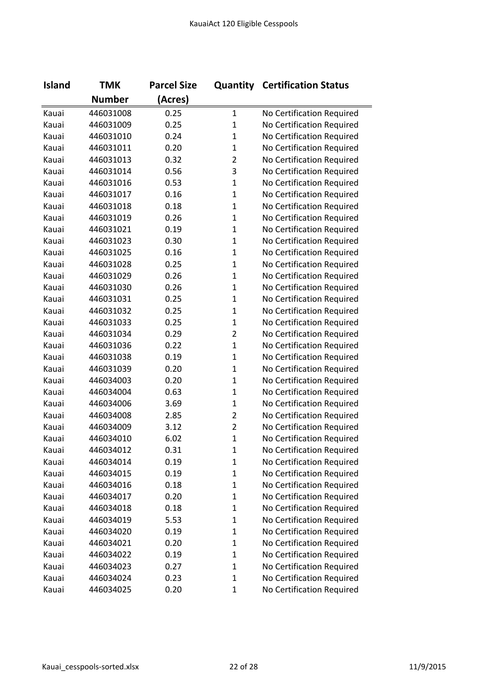| <b>Island</b> | <b>TMK</b>    | <b>Parcel Size</b> |                | <b>Quantity Certification Status</b> |
|---------------|---------------|--------------------|----------------|--------------------------------------|
|               | <b>Number</b> | (Acres)            |                |                                      |
| Kauai         | 446031008     | 0.25               | $\mathbf{1}$   | No Certification Required            |
| Kauai         | 446031009     | 0.25               | $\mathbf{1}$   | No Certification Required            |
| Kauai         | 446031010     | 0.24               | $\mathbf{1}$   | No Certification Required            |
| Kauai         | 446031011     | 0.20               | $\mathbf{1}$   | No Certification Required            |
| Kauai         | 446031013     | 0.32               | $\overline{2}$ | No Certification Required            |
| Kauai         | 446031014     | 0.56               | 3              | No Certification Required            |
| Kauai         | 446031016     | 0.53               | $\mathbf{1}$   | No Certification Required            |
| Kauai         | 446031017     | 0.16               | $\mathbf{1}$   | No Certification Required            |
| Kauai         | 446031018     | 0.18               | $\mathbf{1}$   | No Certification Required            |
| Kauai         | 446031019     | 0.26               | $\mathbf{1}$   | No Certification Required            |
| Kauai         | 446031021     | 0.19               | $\mathbf{1}$   | No Certification Required            |
| Kauai         | 446031023     | 0.30               | $\mathbf{1}$   | No Certification Required            |
| Kauai         | 446031025     | 0.16               | $\mathbf{1}$   | No Certification Required            |
| Kauai         | 446031028     | 0.25               | $\mathbf{1}$   | No Certification Required            |
| Kauai         | 446031029     | 0.26               | $\mathbf{1}$   | No Certification Required            |
| Kauai         | 446031030     | 0.26               | $\mathbf{1}$   | No Certification Required            |
| Kauai         | 446031031     | 0.25               | $\mathbf{1}$   | No Certification Required            |
| Kauai         | 446031032     | 0.25               | $\mathbf{1}$   | No Certification Required            |
| Kauai         | 446031033     | 0.25               | $\mathbf{1}$   | No Certification Required            |
| Kauai         | 446031034     | 0.29               | $\overline{2}$ | No Certification Required            |
| Kauai         | 446031036     | 0.22               | $\mathbf{1}$   | No Certification Required            |
| Kauai         | 446031038     | 0.19               | $\mathbf{1}$   | No Certification Required            |
| Kauai         | 446031039     | 0.20               | $\mathbf{1}$   | No Certification Required            |
| Kauai         | 446034003     | 0.20               | $\mathbf{1}$   | No Certification Required            |
| Kauai         | 446034004     | 0.63               | $\mathbf{1}$   | No Certification Required            |
| Kauai         | 446034006     | 3.69               | $\mathbf{1}$   | No Certification Required            |
| Kauai         | 446034008     | 2.85               | $\overline{2}$ | No Certification Required            |
| Kauai         | 446034009     | 3.12               | $\overline{2}$ | No Certification Required            |
| Kauai         | 446034010     | 6.02               | $\overline{1}$ | No Certification Required            |
| Kauai         | 446034012     | 0.31               | 1              | No Certification Required            |
| Kauai         | 446034014     | 0.19               | $\mathbf{1}$   | No Certification Required            |
| Kauai         | 446034015     | 0.19               | 1              | No Certification Required            |
| Kauai         | 446034016     | 0.18               | 1              | No Certification Required            |
| Kauai         | 446034017     | 0.20               | $\mathbf{1}$   | No Certification Required            |
| Kauai         | 446034018     | 0.18               | $\mathbf{1}$   | No Certification Required            |
| Kauai         | 446034019     | 5.53               | $\mathbf{1}$   | No Certification Required            |
| Kauai         | 446034020     | 0.19               | $\mathbf 1$    | No Certification Required            |
| Kauai         | 446034021     | 0.20               | 1              | No Certification Required            |
| Kauai         | 446034022     | 0.19               | 1              | No Certification Required            |
| Kauai         | 446034023     | 0.27               | $\mathbf{1}$   | No Certification Required            |
| Kauai         | 446034024     | 0.23               | 1              | No Certification Required            |
| Kauai         | 446034025     | 0.20               | $\mathbf{1}$   | No Certification Required            |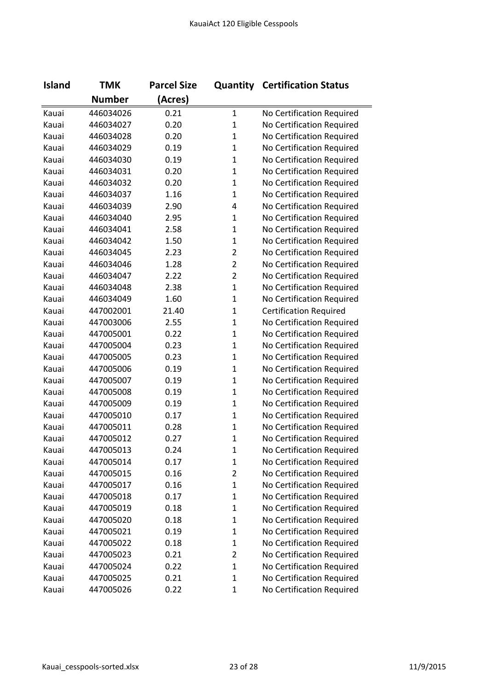| <b>Island</b> | <b>TMK</b>    | <b>Parcel Size</b> |                | <b>Quantity Certification Status</b> |
|---------------|---------------|--------------------|----------------|--------------------------------------|
|               | <b>Number</b> | (Acres)            |                |                                      |
| Kauai         | 446034026     | 0.21               | $\mathbf{1}$   | No Certification Required            |
| Kauai         | 446034027     | 0.20               | $\mathbf{1}$   | No Certification Required            |
| Kauai         | 446034028     | 0.20               | $\mathbf{1}$   | No Certification Required            |
| Kauai         | 446034029     | 0.19               | $\mathbf{1}$   | No Certification Required            |
| Kauai         | 446034030     | 0.19               | $\mathbf{1}$   | No Certification Required            |
| Kauai         | 446034031     | 0.20               | $\mathbf{1}$   | No Certification Required            |
| Kauai         | 446034032     | 0.20               | $\mathbf{1}$   | No Certification Required            |
| Kauai         | 446034037     | 1.16               | $\mathbf{1}$   | No Certification Required            |
| Kauai         | 446034039     | 2.90               | $\overline{4}$ | No Certification Required            |
| Kauai         | 446034040     | 2.95               | $\mathbf{1}$   | No Certification Required            |
| Kauai         | 446034041     | 2.58               | $\mathbf{1}$   | No Certification Required            |
| Kauai         | 446034042     | 1.50               | $\mathbf{1}$   | No Certification Required            |
| Kauai         | 446034045     | 2.23               | $\overline{2}$ | No Certification Required            |
| Kauai         | 446034046     | 1.28               | $\overline{2}$ | No Certification Required            |
| Kauai         | 446034047     | 2.22               | $\overline{2}$ | No Certification Required            |
| Kauai         | 446034048     | 2.38               | $\mathbf{1}$   | No Certification Required            |
| Kauai         | 446034049     | 1.60               | $\mathbf{1}$   | No Certification Required            |
| Kauai         | 447002001     | 21.40              | $\mathbf{1}$   | <b>Certification Required</b>        |
| Kauai         | 447003006     | 2.55               | $\mathbf{1}$   | No Certification Required            |
| Kauai         | 447005001     | 0.22               | $\mathbf{1}$   | No Certification Required            |
| Kauai         | 447005004     | 0.23               | $\mathbf{1}$   | No Certification Required            |
| Kauai         | 447005005     | 0.23               | $\mathbf{1}$   | No Certification Required            |
| Kauai         | 447005006     | 0.19               | $\mathbf{1}$   | No Certification Required            |
| Kauai         | 447005007     | 0.19               | $\mathbf{1}$   | No Certification Required            |
| Kauai         | 447005008     | 0.19               | $\mathbf{1}$   | No Certification Required            |
| Kauai         | 447005009     | 0.19               | $\mathbf{1}$   | No Certification Required            |
| Kauai         | 447005010     | 0.17               | $\mathbf{1}$   | No Certification Required            |
| Kauai         | 447005011     | 0.28               | $\mathbf{1}$   | No Certification Required            |
| Kauai         | 447005012     | 0.27               | $\mathbf{1}$   | No Certification Required            |
| Kauai         | 447005013     | 0.24               | 1              | No Certification Required            |
| Kauai         | 447005014     | 0.17               | $\mathbf{1}$   | No Certification Required            |
| Kauai         | 447005015     | 0.16               | $\overline{2}$ | No Certification Required            |
| Kauai         | 447005017     | 0.16               | $\mathbf 1$    | No Certification Required            |
| Kauai         | 447005018     | 0.17               | $\mathbf{1}$   | No Certification Required            |
| Kauai         | 447005019     | 0.18               | $\mathbf{1}$   | No Certification Required            |
| Kauai         | 447005020     | 0.18               | $\mathbf{1}$   | No Certification Required            |
| Kauai         | 447005021     | 0.19               | 1              | No Certification Required            |
| Kauai         | 447005022     | 0.18               | $\mathbf{1}$   | No Certification Required            |
| Kauai         | 447005023     | 0.21               | $\overline{2}$ | No Certification Required            |
| Kauai         | 447005024     | 0.22               | $\mathbf{1}$   | No Certification Required            |
| Kauai         | 447005025     | 0.21               | $\mathbf{1}$   | No Certification Required            |
| Kauai         | 447005026     | 0.22               | $\mathbf 1$    | No Certification Required            |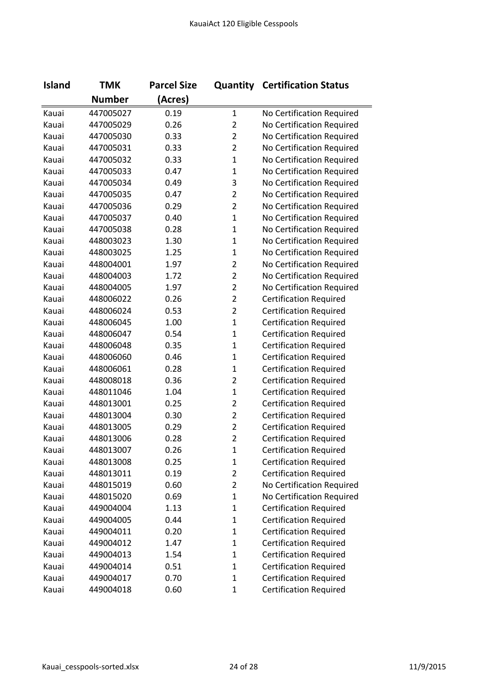| <b>Island</b> | <b>TMK</b>    | <b>Parcel Size</b> |                | <b>Quantity Certification Status</b> |
|---------------|---------------|--------------------|----------------|--------------------------------------|
|               | <b>Number</b> | (Acres)            |                |                                      |
| Kauai         | 447005027     | 0.19               | $\mathbf{1}$   | No Certification Required            |
| Kauai         | 447005029     | 0.26               | $\overline{2}$ | No Certification Required            |
| Kauai         | 447005030     | 0.33               | $\overline{2}$ | No Certification Required            |
| Kauai         | 447005031     | 0.33               | $\overline{2}$ | No Certification Required            |
| Kauai         | 447005032     | 0.33               | $\mathbf{1}$   | No Certification Required            |
| Kauai         | 447005033     | 0.47               | $\mathbf 1$    | No Certification Required            |
| Kauai         | 447005034     | 0.49               | 3              | No Certification Required            |
| Kauai         | 447005035     | 0.47               | $\overline{2}$ | No Certification Required            |
| Kauai         | 447005036     | 0.29               | $\overline{2}$ | No Certification Required            |
| Kauai         | 447005037     | 0.40               | $\mathbf{1}$   | No Certification Required            |
| Kauai         | 447005038     | 0.28               | $\mathbf{1}$   | No Certification Required            |
| Kauai         | 448003023     | 1.30               | $\mathbf{1}$   | No Certification Required            |
| Kauai         | 448003025     | 1.25               | $\mathbf{1}$   | No Certification Required            |
| Kauai         | 448004001     | 1.97               | $\overline{2}$ | No Certification Required            |
| Kauai         | 448004003     | 1.72               | $\overline{2}$ | No Certification Required            |
| Kauai         | 448004005     | 1.97               | $\overline{2}$ | No Certification Required            |
| Kauai         | 448006022     | 0.26               | $\overline{2}$ | <b>Certification Required</b>        |
| Kauai         | 448006024     | 0.53               | $\overline{2}$ | <b>Certification Required</b>        |
| Kauai         | 448006045     | 1.00               | $\mathbf{1}$   | <b>Certification Required</b>        |
| Kauai         | 448006047     | 0.54               | $\mathbf 1$    | <b>Certification Required</b>        |
| Kauai         | 448006048     | 0.35               | $\mathbf{1}$   | <b>Certification Required</b>        |
| Kauai         | 448006060     | 0.46               | $\mathbf{1}$   | <b>Certification Required</b>        |
| Kauai         | 448006061     | 0.28               | $\mathbf{1}$   | <b>Certification Required</b>        |
| Kauai         | 448008018     | 0.36               | $\overline{2}$ | <b>Certification Required</b>        |
| Kauai         | 448011046     | 1.04               | $\mathbf{1}$   | <b>Certification Required</b>        |
| Kauai         | 448013001     | 0.25               | $\overline{2}$ | <b>Certification Required</b>        |
| Kauai         | 448013004     | 0.30               | $\overline{2}$ | <b>Certification Required</b>        |
| Kauai         | 448013005     | 0.29               | $\overline{2}$ | <b>Certification Required</b>        |
| Kauai         | 448013006     | 0.28               | $\overline{2}$ | <b>Certification Required</b>        |
| Kauai         | 448013007     | 0.26               | 1              | Certification Required               |
| Kauai         | 448013008     | 0.25               | $\mathbf{1}$   | <b>Certification Required</b>        |
| Kauai         | 448013011     | 0.19               | $\overline{2}$ | <b>Certification Required</b>        |
| Kauai         | 448015019     | 0.60               | $\overline{2}$ | No Certification Required            |
| Kauai         | 448015020     | 0.69               | $\mathbf 1$    | No Certification Required            |
| Kauai         | 449004004     | 1.13               | $\mathbf{1}$   | <b>Certification Required</b>        |
| Kauai         | 449004005     | 0.44               | $\mathbf{1}$   | <b>Certification Required</b>        |
| Kauai         | 449004011     | 0.20               | $\mathbf{1}$   | <b>Certification Required</b>        |
| Kauai         | 449004012     | 1.47               | $\mathbf{1}$   | <b>Certification Required</b>        |
| Kauai         | 449004013     | 1.54               | $\mathbf 1$    | <b>Certification Required</b>        |
| Kauai         | 449004014     | 0.51               | $\mathbf{1}$   | <b>Certification Required</b>        |
| Kauai         | 449004017     | 0.70               | $\mathbf 1$    | <b>Certification Required</b>        |
| Kauai         | 449004018     | 0.60               | $\mathbf{1}$   | <b>Certification Required</b>        |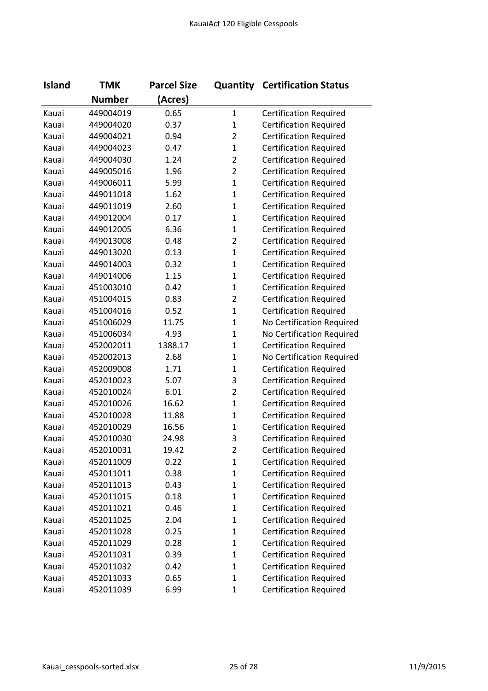| <b>Island</b> | <b>TMK</b>    | <b>Parcel Size</b> |                | <b>Quantity Certification Status</b> |
|---------------|---------------|--------------------|----------------|--------------------------------------|
|               | <b>Number</b> | (Acres)            |                |                                      |
| Kauai         | 449004019     | 0.65               | $\mathbf{1}$   | <b>Certification Required</b>        |
| Kauai         | 449004020     | 0.37               | $\mathbf{1}$   | <b>Certification Required</b>        |
| Kauai         | 449004021     | 0.94               | $\overline{2}$ | <b>Certification Required</b>        |
| Kauai         | 449004023     | 0.47               | $\mathbf{1}$   | <b>Certification Required</b>        |
| Kauai         | 449004030     | 1.24               | $\overline{2}$ | <b>Certification Required</b>        |
| Kauai         | 449005016     | 1.96               | $\overline{2}$ | <b>Certification Required</b>        |
| Kauai         | 449006011     | 5.99               | $\mathbf{1}$   | <b>Certification Required</b>        |
| Kauai         | 449011018     | 1.62               | $\mathbf 1$    | <b>Certification Required</b>        |
| Kauai         | 449011019     | 2.60               | $\mathbf{1}$   | <b>Certification Required</b>        |
| Kauai         | 449012004     | 0.17               | $\mathbf 1$    | <b>Certification Required</b>        |
| Kauai         | 449012005     | 6.36               | $\mathbf{1}$   | <b>Certification Required</b>        |
| Kauai         | 449013008     | 0.48               | $\overline{2}$ | <b>Certification Required</b>        |
| Kauai         | 449013020     | 0.13               | $\mathbf 1$    | <b>Certification Required</b>        |
| Kauai         | 449014003     | 0.32               | $\mathbf 1$    | <b>Certification Required</b>        |
| Kauai         | 449014006     | 1.15               | $\mathbf{1}$   | <b>Certification Required</b>        |
| Kauai         | 451003010     | 0.42               | $\mathbf 1$    | <b>Certification Required</b>        |
| Kauai         | 451004015     | 0.83               | $\overline{2}$ | <b>Certification Required</b>        |
| Kauai         | 451004016     | 0.52               | $\mathbf{1}$   | <b>Certification Required</b>        |
| Kauai         | 451006029     | 11.75              | $\mathbf 1$    | No Certification Required            |
| Kauai         | 451006034     | 4.93               | $\mathbf{1}$   | No Certification Required            |
| Kauai         | 452002011     | 1388.17            | $\mathbf{1}$   | <b>Certification Required</b>        |
| Kauai         | 452002013     | 2.68               | $\mathbf{1}$   | No Certification Required            |
| Kauai         | 452009008     | 1.71               | $\mathbf 1$    | <b>Certification Required</b>        |
| Kauai         | 452010023     | 5.07               | 3              | <b>Certification Required</b>        |
| Kauai         | 452010024     | 6.01               | $\overline{2}$ | <b>Certification Required</b>        |
| Kauai         | 452010026     | 16.62              | $\mathbf{1}$   | <b>Certification Required</b>        |
| Kauai         | 452010028     | 11.88              | $\mathbf 1$    | <b>Certification Required</b>        |
| Kauai         | 452010029     | 16.56              | $\mathbf 1$    | <b>Certification Required</b>        |
| Kauai         | 452010030     | 24.98              | 3              | <b>Certification Required</b>        |
| Kauai         | 452010031     | 19.42              | 2              | <b>Certification Required</b>        |
| Kauai         | 452011009     | 0.22               | $\mathbf{1}$   | <b>Certification Required</b>        |
| Kauai         | 452011011     | 0.38               | $\mathbf{1}$   | <b>Certification Required</b>        |
| Kauai         | 452011013     | 0.43               | $\mathbf 1$    | <b>Certification Required</b>        |
| Kauai         | 452011015     | 0.18               | $\mathbf 1$    | <b>Certification Required</b>        |
| Kauai         | 452011021     | 0.46               | $\mathbf 1$    | <b>Certification Required</b>        |
| Kauai         | 452011025     | 2.04               | $\mathbf 1$    | <b>Certification Required</b>        |
| Kauai         | 452011028     | 0.25               | $\mathbf 1$    | <b>Certification Required</b>        |
| Kauai         | 452011029     | 0.28               | $\mathbf 1$    | <b>Certification Required</b>        |
| Kauai         | 452011031     | 0.39               | $\mathbf 1$    | <b>Certification Required</b>        |
| Kauai         | 452011032     | 0.42               | $\mathbf{1}$   | <b>Certification Required</b>        |
| Kauai         | 452011033     | 0.65               | $\mathbf 1$    | <b>Certification Required</b>        |
| Kauai         | 452011039     | 6.99               | $\mathbf{1}$   | <b>Certification Required</b>        |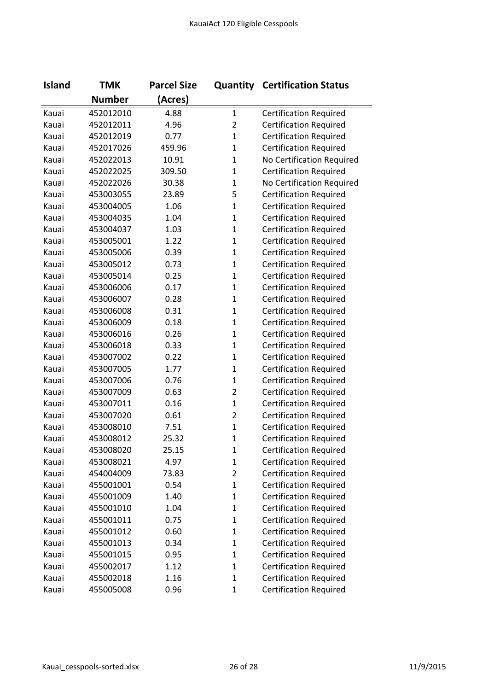| <b>Island</b> | <b>TMK</b>    | <b>Parcel Size</b> |                | <b>Quantity Certification Status</b> |
|---------------|---------------|--------------------|----------------|--------------------------------------|
|               | <b>Number</b> | (Acres)            |                |                                      |
| Kauai         | 452012010     | 4.88               | $\mathbf{1}$   | <b>Certification Required</b>        |
| Kauai         | 452012011     | 4.96               | $\overline{2}$ | <b>Certification Required</b>        |
| Kauai         | 452012019     | 0.77               | $\mathbf{1}$   | <b>Certification Required</b>        |
| Kauai         | 452017026     | 459.96             | $\mathbf{1}$   | <b>Certification Required</b>        |
| Kauai         | 452022013     | 10.91              | $\mathbf{1}$   | No Certification Required            |
| Kauai         | 452022025     | 309.50             | $\mathbf{1}$   | <b>Certification Required</b>        |
| Kauai         | 452022026     | 30.38              | $\mathbf{1}$   | No Certification Required            |
| Kauai         | 453003055     | 23.89              | 5              | <b>Certification Required</b>        |
| Kauai         | 453004005     | 1.06               | $\mathbf{1}$   | <b>Certification Required</b>        |
| Kauai         | 453004035     | 1.04               | $\mathbf{1}$   | <b>Certification Required</b>        |
| Kauai         | 453004037     | 1.03               | $\mathbf{1}$   | <b>Certification Required</b>        |
| Kauai         | 453005001     | 1.22               | $\mathbf{1}$   | <b>Certification Required</b>        |
| Kauai         | 453005006     | 0.39               | $\mathbf{1}$   | <b>Certification Required</b>        |
| Kauai         | 453005012     | 0.73               | $\mathbf{1}$   | <b>Certification Required</b>        |
| Kauai         | 453005014     | 0.25               | $\mathbf{1}$   | <b>Certification Required</b>        |
| Kauai         | 453006006     | 0.17               | $\mathbf{1}$   | <b>Certification Required</b>        |
| Kauai         | 453006007     | 0.28               | $\mathbf{1}$   | <b>Certification Required</b>        |
| Kauai         | 453006008     | 0.31               | $\mathbf{1}$   | <b>Certification Required</b>        |
| Kauai         | 453006009     | 0.18               | $\mathbf{1}$   | <b>Certification Required</b>        |
| Kauai         | 453006016     | 0.26               | $\mathbf{1}$   | <b>Certification Required</b>        |
| Kauai         | 453006018     | 0.33               | $\mathbf{1}$   | <b>Certification Required</b>        |
| Kauai         | 453007002     | 0.22               | $\mathbf{1}$   | <b>Certification Required</b>        |
| Kauai         | 453007005     | 1.77               | $\mathbf{1}$   | <b>Certification Required</b>        |
| Kauai         | 453007006     | 0.76               | $\mathbf{1}$   | <b>Certification Required</b>        |
| Kauai         | 453007009     | 0.63               | $\overline{2}$ | <b>Certification Required</b>        |
| Kauai         | 453007011     | 0.16               | $\mathbf{1}$   | <b>Certification Required</b>        |
| Kauai         | 453007020     | 0.61               | $\overline{2}$ | <b>Certification Required</b>        |
| Kauai         | 453008010     | 7.51               | $\mathbf{1}$   | <b>Certification Required</b>        |
| Kauai         | 453008012     | 25.32              | $\mathbf{1}$   | <b>Certification Required</b>        |
| Kauai         | 453008020     | 25.15              | 1              | <b>Certification Required</b>        |
| Kauai         | 453008021     | 4.97               | $\mathbf{1}$   | <b>Certification Required</b>        |
| Kauai         | 454004009     | 73.83              | $\overline{2}$ | <b>Certification Required</b>        |
| Kauai         | 455001001     | 0.54               | $\mathbf{1}$   | <b>Certification Required</b>        |
| Kauai         | 455001009     | 1.40               | $\mathbf{1}$   | <b>Certification Required</b>        |
| Kauai         | 455001010     | 1.04               | $\mathbf{1}$   | <b>Certification Required</b>        |
| Kauai         | 455001011     | 0.75               | $\mathbf{1}$   | <b>Certification Required</b>        |
| Kauai         | 455001012     | 0.60               | $\mathbf{1}$   | <b>Certification Required</b>        |
| Kauai         | 455001013     | 0.34               | $\mathbf{1}$   | <b>Certification Required</b>        |
| Kauai         | 455001015     | 0.95               | $\mathbf{1}$   | <b>Certification Required</b>        |
| Kauai         | 455002017     | 1.12               | $\mathbf{1}$   | <b>Certification Required</b>        |
| Kauai         | 455002018     | 1.16               | $\mathbf{1}$   | <b>Certification Required</b>        |
| Kauai         | 455005008     | 0.96               | $\mathbf{1}$   | <b>Certification Required</b>        |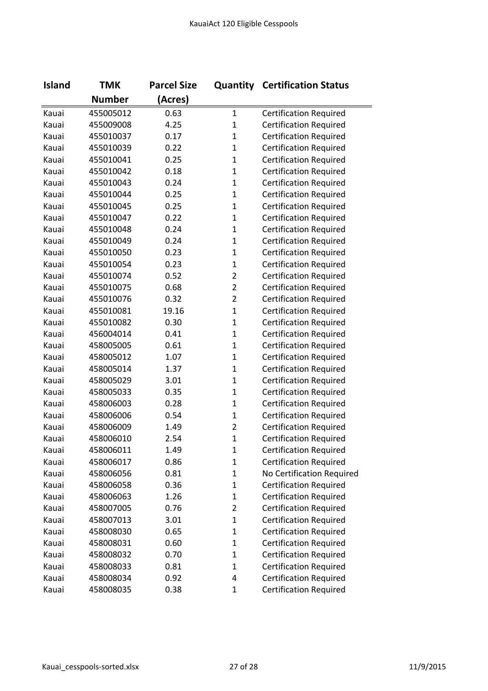| <b>Island</b> | <b>TMK</b>    | <b>Parcel Size</b> |                | <b>Quantity Certification Status</b> |
|---------------|---------------|--------------------|----------------|--------------------------------------|
|               | <b>Number</b> | (Acres)            |                |                                      |
| Kauai         | 455005012     | 0.63               | $\mathbf{1}$   | <b>Certification Required</b>        |
| Kauai         | 455009008     | 4.25               | $\mathbf{1}$   | <b>Certification Required</b>        |
| Kauai         | 455010037     | 0.17               | $\mathbf{1}$   | <b>Certification Required</b>        |
| Kauai         | 455010039     | 0.22               | $\mathbf{1}$   | <b>Certification Required</b>        |
| Kauai         | 455010041     | 0.25               | $\mathbf{1}$   | <b>Certification Required</b>        |
| Kauai         | 455010042     | 0.18               | $\mathbf 1$    | <b>Certification Required</b>        |
| Kauai         | 455010043     | 0.24               | $\mathbf{1}$   | <b>Certification Required</b>        |
| Kauai         | 455010044     | 0.25               | $\mathbf 1$    | <b>Certification Required</b>        |
| Kauai         | 455010045     | 0.25               | $\mathbf{1}$   | <b>Certification Required</b>        |
| Kauai         | 455010047     | 0.22               | $\mathbf{1}$   | <b>Certification Required</b>        |
| Kauai         | 455010048     | 0.24               | $\mathbf{1}$   | <b>Certification Required</b>        |
| Kauai         | 455010049     | 0.24               | $\mathbf{1}$   | <b>Certification Required</b>        |
| Kauai         | 455010050     | 0.23               | $\mathbf 1$    | <b>Certification Required</b>        |
| Kauai         | 455010054     | 0.23               | $\mathbf{1}$   | <b>Certification Required</b>        |
| Kauai         | 455010074     | 0.52               | $\overline{2}$ | <b>Certification Required</b>        |
| Kauai         | 455010075     | 0.68               | $\overline{2}$ | <b>Certification Required</b>        |
| Kauai         | 455010076     | 0.32               | $\overline{2}$ | <b>Certification Required</b>        |
| Kauai         | 455010081     | 19.16              | $\mathbf{1}$   | <b>Certification Required</b>        |
| Kauai         | 455010082     | 0.30               | $\mathbf 1$    | <b>Certification Required</b>        |
| Kauai         | 456004014     | 0.41               | $\mathbf 1$    | <b>Certification Required</b>        |
| Kauai         | 458005005     | 0.61               | $\mathbf{1}$   | <b>Certification Required</b>        |
| Kauai         | 458005012     | 1.07               | $\mathbf{1}$   | <b>Certification Required</b>        |
| Kauai         | 458005014     | 1.37               | $\mathbf{1}$   | <b>Certification Required</b>        |
| Kauai         | 458005029     | 3.01               | $\mathbf{1}$   | <b>Certification Required</b>        |
| Kauai         | 458005033     | 0.35               | $\mathbf{1}$   | <b>Certification Required</b>        |
| Kauai         | 458006003     | 0.28               | $\mathbf{1}$   | <b>Certification Required</b>        |
| Kauai         | 458006006     | 0.54               | $\mathbf{1}$   | <b>Certification Required</b>        |
| Kauai         | 458006009     | 1.49               | $\overline{2}$ | <b>Certification Required</b>        |
| Kauai         | 458006010     | 2.54               | $\mathbf{1}$   | <b>Certification Required</b>        |
| Kauai         | 458006011     | 1.49               | 1              | <b>Certification Required</b>        |
| Kauai         | 458006017     | 0.86               | $\mathbf 1$    | <b>Certification Required</b>        |
| Kauai         | 458006056     | 0.81               | $\mathbf 1$    | No Certification Required            |
| Kauai         | 458006058     | 0.36               | $\mathbf 1$    | <b>Certification Required</b>        |
| Kauai         | 458006063     | 1.26               | $\mathbf 1$    | <b>Certification Required</b>        |
| Kauai         | 458007005     | 0.76               | $\overline{2}$ | <b>Certification Required</b>        |
| Kauai         | 458007013     | 3.01               | $\mathbf 1$    | <b>Certification Required</b>        |
| Kauai         | 458008030     | 0.65               | $\mathbf 1$    | <b>Certification Required</b>        |
| Kauai         | 458008031     | 0.60               | $\mathbf 1$    | <b>Certification Required</b>        |
| Kauai         | 458008032     | 0.70               | $\mathbf 1$    | <b>Certification Required</b>        |
| Kauai         | 458008033     | 0.81               | 1              | <b>Certification Required</b>        |
| Kauai         | 458008034     | 0.92               | 4              | <b>Certification Required</b>        |
| Kauai         | 458008035     | 0.38               | $\mathbf{1}$   | <b>Certification Required</b>        |